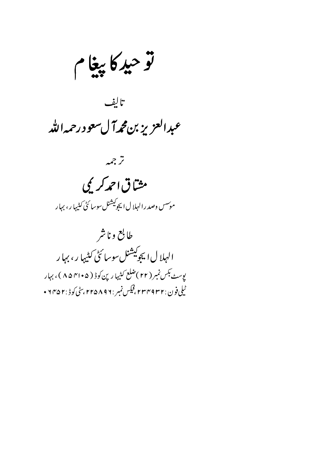توحيد كاپيغام

تالف عبدالعزيز بن محمه آل سعو درحمه الله



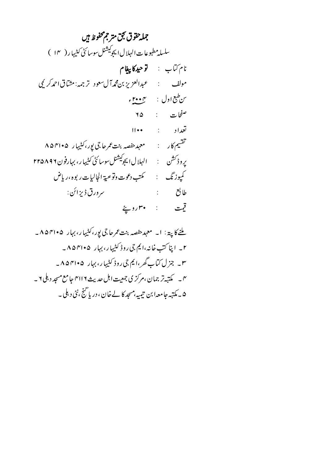جمله حقوق نجق متر جمحفوظ ہیں سلسله مطبوعات الهلال ايجوكيشنل سوسائڻي کثيها ر ( ١۴ ) نام *كتا*ب : **توحيد كاپيغام** صفحات : ٢۵ تعداد ۱۱۰۰ تقسیم کار : معہد حفصہ بنت عمرحاجی یور، کٹیہا رے ۸۵۴۱۰۵ يروڈ<sup>سش</sup>ن : الہلال ايجو<sup>کيشن</sup>لسوسائڻ *کي*ڀهار، بہارفون ٢٢۵٨٩٢ طابع : سرورق ڈیزائن : قيت : ۳۰روپځ

ملنے کا پتہ: ا۔ معہد حفصہ بنت عمر جا جی پور، کثیہا ر، بہار ۴۱۰۵ ۸۵ – ۲\_ اینا کتب خانه،ایم جی روڈ کٹیہا ر، بہار ۴۱۰۵۴۱۰۵\_ ۳۔ جزل کتاب گھر ،ایم جی روڈ کٹیہا ر، بہار ۴۱۰۵۴۱۰۵۔ ۴ ۔ مکتبہتر جمان ،مرکز ی جمعیت اہل حدیث ۲۱۱۶ جا مع مسجد د ہلی ۲ ۔ ۵ ۔ مکتبہ جا معہا بن تیمیہ،مسجد کا لے خان ، دریا گنج ،نئی د ہلی ۔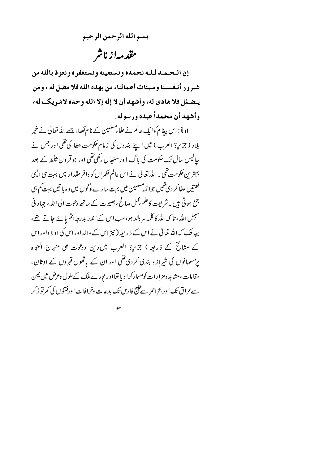بسم الله الرحمن الرحيم مقدمهازناشر

إن التحتمند لبله نحمده ونستعينه ونستغفره ونعوذ بالله من شير ور أنتفسينا وسيئات أعمالنا، من يهده الله فلا مضل له ، ومن يـضـلل فلا هادي له، وأشهد أن لا إله إلا الله وحده لاشريك له، وأشهد أن محمداً عبده ورسوله.

اولاً: اس بیغام کوایک عالم نے علماء مسلمین کے نام لکھا، جسے اللہ تعالیٰ نے خیر بلاد (جزیرۃ العرب ) میں اپنے بندوں کی زمام حکومت عطا کی تھی اور جس نے حالیس سال تک حکومت کی باگ ڈ ورسنہجال رکھی تھی اور جو قر ون ثلثہ کے بعد بہترین حکومت تھی۔اللہ تعالیٰ نے اس عالم حکمراں کو وافر مقدار میں بہت سی ایسی نعمتیں عطا کر دی تھیں جوائمہ مسلمین میں بہت سارےلوگوں میں وہ با تیں بہت کم ہی جمع ہوتی ہیں ۔شریعت کاعلم عمل صالح ، بصیرت کے ساتھ دعوت الی اللہ، جہاد فی سبیل اللہ ، تا کہ اللہ کا کلمہ سر بلند ہو، سب اس کے اندر بدرجہ اتم یائے جاتے تھے، یہائنک کہ اللہ تعالیٰ نے اس کے ذیر بعیہ (نیز اس کے والد اور اس کی اولا داور اس کے مثائخ کے ذریعہ) جزیرۃ العرب میں دین ودعوت علی منہاج النبو ہ پرمسلمانوں کی شرازہ بندی کردی تھی اور ان کے ہاتھوں قبروں کے اوثان، مقامات،مشاہد ومزارات کومسارکرا دیا تھااور پورے ملک کےطول وعرض میں یمن سے عراق تک اور بحراحمر سے خلیج فارس تک بدعات وخرافات اورفتنوں کی کمرتو ڑ کر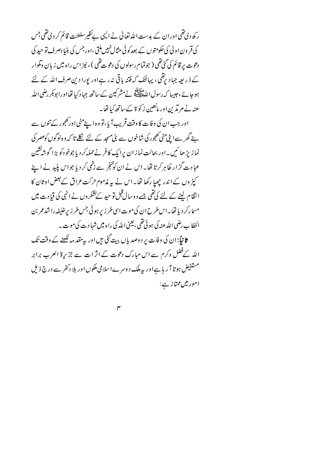ر کھ دی تھی اور ان کے بدست اللہ تعالیٰ نے ایپی نے نظیر سلطنت قائم کر دی تھی جس کی قر ون اولیٰ کی حکومتوں کے بعدکوئی مثال نہیں ملتی ،اور جس کی بنیا دصرف تو حید کی دعوت پر قائم کې گڼې تقي ( جوټما مړسولوں کې دعوت تقي ) ، نيز اس راه ميں زيان ونلوار کے ذ ریعہ جہاد یرتقی، یہائک کہ فتنہ باقی نہ رہے اور پورا دین صرف اللہ کے لئے ہو جائے ،جیسا کہ رسول اللہﷺ نے مشرکین کے ساتھ جہاد کیا تھااورا بوبکر رضی اللہ عنہ نے مرتدین اور مانعین زکو ۃ کےساتھ کیا تھا۔

اور جب ان کی وفات کا وقت قریب آیا،تو وہ اپنےمٹی اور کھجور کے تنوں سے ہنے گھر سے ابنی پٹی تھجور کی شاخوں سے بنی مسجد کے لئے نکلے تا کہ وہ لوگوں کوعصر کی نمازيڑ ھا ئىيں ۔اور بحالت نمازان پرایک کافر نے حملہ کر دیا جوخودکو بڑ اگوشہ نشین عبادت گزار ظاہر کرتا تھا۔اس نے ان کوخبخر سے زخمی کر دیا جواس پلید نے اپنے کپڑ وں کے اندر چھپا رکھا تھا۔اس نے یہ مذموم *حرک*ت عراق کے بعض اوثان کا انقام لینے کے لئے کی تھی جسے دوسال قبل تو حید کے نشکروں نے انہی کی قیادت میں مسما رکر دیا تھا۔اس طرح ان کی موت اسی طرز پر ہوئی جس طرز پر خلیفہ را شدعمر بن الخطاب رضی الله عنه کی ہوئی تھی ،لیجنی الله کی راہ میں شہا د ت کی موت ۔ ثانیاً:ان کی وفات پر دوصدیاں بیت گئی ہیںاور پیرمقد مہ لکھنے کے وقت تک اللہ کےفضل وکرم سے اس مبارک دعوت کے اثرات سے جزیرۃ العرب برابر مستفیض ہوتا آ ر ہا ہےاور بیہ ملک دوسر ےاسلامی ملکوں اور بلا دکفر سے درج ذیل

امور میں ممتاز ہے :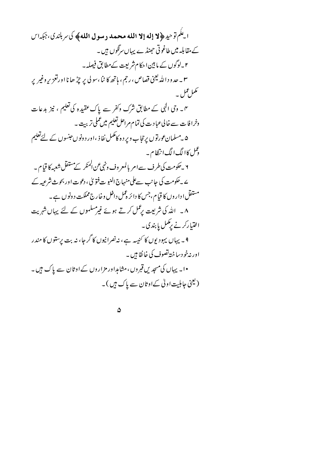ائِلُم تَوْحِيهِ ﴿ لَا إِلَهَ إِلَّا اللَّهَ مَحْمَدٌ رَسُولَ اللَّهُ ﴾ كَا لَمْ بِلَنْدِكِ، جَبَدَا ل کے مقابلہ میں طاغو تی حجنڈ ے یہاں سرگوں ہیں ۔ ۲۔لوگوں کے مابین احکام شریعت کےمطابق فیصلہ۔ ۳ \_ حد و د الله یعنی قصاص ، رجم ، ہاتھ کا ٹما ،سو لی پر چڑ ھا نا اورتغزیر وغیر پر ىمل عمل۔ یں۔ وی الٰی کے مطابق شرک وکفر سے پاک عقیدہ کی تعلیم ، نیز بدعات وخرافات سے خالی *عب*ادت کی تمام مراحل تعلیم میں عملی تربیت ۔ ۵ ۔مسلمان <sub>گ</sub>ورتوں پر حجاب ویر د ہ کامکمل نفاذ ،اور د ونوں عنسوں کے لئے تعلیم و من کاالگ الگ انتظام ۔ ۲ ۔حکومت کی طرف سے امر بالمعر وف ونہی عن الممکر کے مستقل شعبہ کا قیام ۔ ے ۔حکومت کی جانب سےعلی منہاج النبو ت فتو ٹی ، دعوت اور بحوث شرعیہ کے مستقل ا دار وں کا قیام،جس کا دائر ہمل داخل وخارج مملکت د ونوں ہے ۔ ۸۔ اللہ کی شریعت پرعمل کرتے ہوئے غیرمسلموں کے لئے پہاں شہریت اختیارکرنے برکمل پابندی۔ ۹ ۔ یہاں یہودیوں کا کنیسہ ہے، نہ نصرانیوں کا گر جا، نہ بت پرستوں کا مندر اور نہ خو دساختہ تصوف کی خانقا ہیں۔ ۱۰۔ یہاں کی مسجد یں قبروں ، مثامداور مزاروں کے اوثان سے پاک ہیں۔ (یعنی جاہلیت اولی کےاوثان سے پاک ہیں )۔

 $\boldsymbol{\Delta}$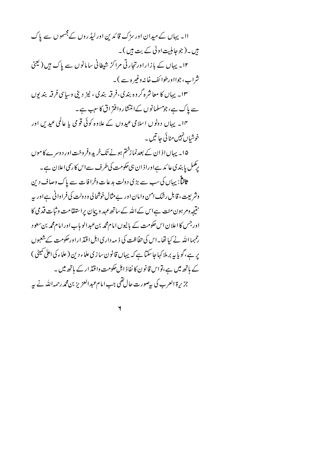اا۔ یہاں کے میدان اور سڑک قائدین اور لیڈروں کے جسموں سے پاک ہیں۔(جوجا ہلیت اولٰی کے بت ہیں )۔ ۱۲۔ پہاں کے بازاراورتجارتی مراکز شیطانی سامانوں سے پاک ہیں ( یعنی شراب، جوااورطوا ئف خانہ دغیر ہ سے )۔ ۱۳ ـ یهاں کا معاشرہ گروہ بندی،فرقیہ بندی ، نیز دینی وساسی فرقیہ بندیوں سے پاک ہے، جومسلمانوں کےانتشار دافتر اق کا سبب ہے۔ ۱۴۔ یہاں دونوں اسلامی عیدوں کے علاوہ کوئی قومی یا عالمی عید س اور خوشیاں نہیں منائی جا تیں ۔ ۱۵۔ یہاں اذان کے بعدنما زختم ہونے تک خرید وفر وخت اور دوسرے کا موں برگمل پا بندی عا ئد ہےاورا ذان ہی حکومت کی طرف سےاس کا رسمی اعلان ہے۔ ثالثاً: یہاں کی سب سے بڑی دولت بدعات وخرافات سے پاک وصاف دین وشریعت ، قابل رشک امن وامان اور بے مثال خوشحا لی و دولت کی فراوانی ہےاور یہ نتیجہ دم ہون منت ہےاس کےاللہ کےساتھ *عہد* و پہان پراستقامت وثبات قدمی کا اور جس کا اعلان اس حکومت کے بانیوں امام محمہ بنءبدالو ہاب اور امام محمہ بن سعود رحمہما اللہ نے کیا تھا۔اس کی حفاظت کی ذیبہ داری اہل اقتد اراورحکومت کے شعبوں یر ہے،گویا بیہ برملا کہا جاسکتا ہے کہ یہاں قانو ن سا زی علماء دین ( علماء کی اعلیٰ تمیٹی ) کے ہاتھ میں ہے،تواس قانون کا نفاذ اہل حکومت واقتد ار کے ہاتھ میں ۔ جزيرة العرب كى بيصورت حال تقى جب امام عبد العزيز بن محمه رحمه الله نے په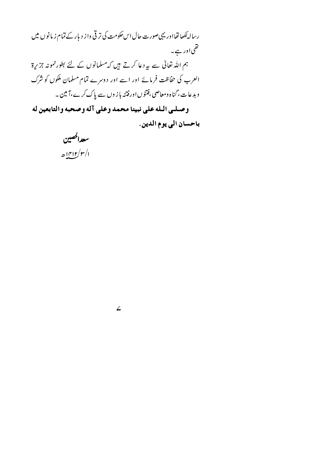رسالہ لکھا تھااور یہی صورت حال اس حکومت کی تر قی واز دیار کے تمام زیانوں میں ى<br>ئىقى اور ہے ۔ ہم اللہ تعالیٰ سے بیردعا کرتے ہیں کہ مسلمانوں کے لئے بطورنمونہ جزیرۃ العرب کی حفاظت فرمائے اور اسے اور دوسرے تمام مسلمان ملکوں کو شرک و بد عات، گناه ومعاصی ،فتنوں اور فتنہ با ز وں سے پاک کرے،آ مین ۔ وصلى الله على نبينا محمد وعلى آله وصحبه والتابعين له باحسان الى يوم الدين.

 $\angle$ 

سعدالحصين  $\mathcal{L}(\mathbf{r}/\mathbf{r}/\mathbf{r})$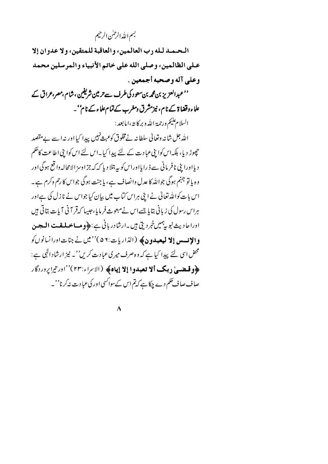## بسم الله الرحمٰن الرحيم

البحيميد ليله رب العالمين، والعاقبة للمتقين، ولا عدوان إلا عـلى الظالمين، وصلى الله على خاتم الأنبياء والمرسلين محمد وعلى آله وصحبه أجمعين . ''عبدالعزیز بن مجم*ر بن سع*ود کی طرف سے تر مین شریفین ،شام ،مصر،عراق کے علاءوقضا ۃ کے نام، نیزمشرق ومغرب کےتمام علاء کے نام' ۔ السلام عليم ورحمة الله وبركاية ،اما بعد : الله جل شانہ وتعالیٰ سلطانہ نےمخلوق کوعبیۃ نہیں پیدا کیا اور نہ اسے بے مقصد چھوڑ دیا، بلکہاس کوا بنی عبا دت کے لئے پیدا کیا ۔اس لئے اس کوا بنی اطاعت کاحکم د یااورا بنی نافر مانی سے ڈ رایااوراس کو پہ بتلا دیا کہ کہ جزاوسز الامحالہ وا قع ہوگی اور وہ یا تو جہنم ہوگی جواللہ کا عدل وانصاف ہے ، یا جنت ہوگی جواس کا رحم وکرم ہے۔ اس بات کوالٹد تعالیٰ نے اپنی ہراس کتاب میں بیان کیا جواس نے نازل کی ہےاور ہراس رسول کی زبانی بتایا جسے اس نے مبعوث فرمایا، جیسا کہ قر آنی آیات بتاتی ہیں اوراحاديث نبوبي<sup>ہم</sup>يںخبرديق <del>ہ</del>يں۔ارشادر بانی ہے:﴿**ومِساحَسلقت الم**عبين والإنسس إلا ليعبدون﴾ (الذاريات:٥٢ )''ميں نے جنات اورانسانوں کو محض اسی لئے پیدا کیا ہے کہ وہ صرف میری عبادت کریں''۔ نیز ارشاد الہٰی ہے: کلوقیضی دیک اُلا تعبدوا إلا إياه﴾ (الابراء:٢٣)''اورتيراپروردگار صاف صاف حکم دے چکا ہے کہ تم اس کےسواکسی اور کی عبادت نہ کرنا''۔

 $\lambda$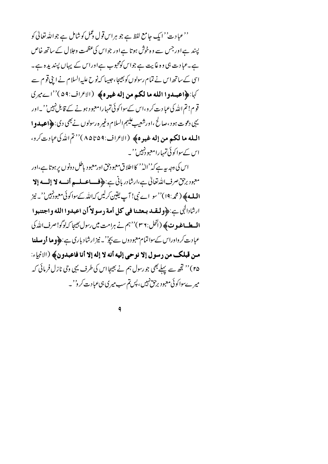''عبادت'' ایک جامع لفظ ہے جو ہراس قول ڈنمل کوشامل ہے جواللہ تعالیٰ کو پسند ہےاور جس سے وہ خوش ہوتا ہےاور جواس کی عظمت وجلال کے ساتھ خاص ہے۔عبادت ہی وہ غایت ہے جواس کومحبوب ہےاوراس کے پہاں پسندیدہ ہے۔ اسی کے ساتھ اس نے تمام رسولوں کو بھیجا، جیسا کہ نوح علیہ السلام نے اپنی قوم سے كها: ﴿ اعتِيدُوا اللَّهُ مَا لَكُمْ مِنْ إِلَهُ غَيْرِهِ﴾ (الأَعْرَاف:٥٩)''اسے ميري قوم! تم الله کی عبا د ت کر و،اس کےسوا کو ئی تمہارامعبو د ہونے کے قابل نہیں''۔اور يېې دعوت ہو ، صالح ،اورشعيب عليهم السلام وغير ه رسولوں نے بھي دي: ﴿اعبدو ا المله ما لكم من إله غيره﴾ (الاعراف:٩٥٩ه)''تم الدكي عبادت كرو، اس کےسوا کوئی تمہارامعبود نہیں''۔

اس کی دجہ ہیہ ہے کہ''الہٰ'' کا اطلاق معبودحق اورمعبود باطل دونوں پر ہوتا ہے،اور معبود برحق صرف الله تعالى ہے،ارشادر بانی ہے:﴿فلساعسلسم أنسسه لا إلسه إلا **المله ﴾ ( مُحر:١٩) ''سو ا**ے نبی! آپ یقین کرلیں کہاللہ کےسواکوئی معبودُنہیں''۔ نیز ارِثَادالِهِي بِيَنِهِ وَلَمِصْدِ بِمِعْنَا فِي كُلِّ أُمَّةٍ رِسُولاً أَنْ اعْبِدُوا اللَّهِ وَاجْتِنِبُوا **السطساغيوت ﴾ (انحل: ٣٦)''ہم نے ہرامت میں رسول بھیجا کہ لوگو! صرف اللہ کی** عبادت کرواوراس کےسواتمام معبودوں سے بچوُ'۔ نیز ارشاد باری ہے:﴿**وما أد مسلنا** من قبلك من رسول إلا نوحي إليه أنه لا إله إلا أنا فاعبدون﴾ (الانبياء: ۲۵)'' تجھ سے پہلے بھی جو رسول ہم نے بھیجا اس کی طرف یہی وحی نازل فرمائی کہ میر ےسواکوئی معبود برحق نہیں، پس تم سب میری ہیءبادت کر و''۔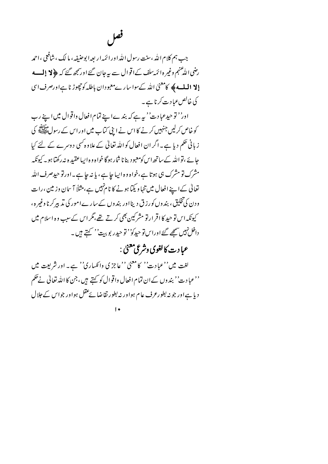فعل

جب ہم کلام اللہ ،سنت رسول اللہ اور ائمّہ ار بعہ ا بوحنیفہ، ما لک ، شافعی ، احمد رضی اللّٰه عنہم وغیر ہ ائمَہ سلف کے اقو ال سے بیرجان گئے اورسمجھ گئے کہ ﴿ لا إِلْمِسْسِهِ **إلا المله» كامعنىٰ الله كےسواسارےمعبودان باطله كوچھوڑ نا ہےاورصرف اسى** کی خالص عبا د ت کرنا ہے ۔

اور'' توحیدعبادت'' ہیرہے کہ بندےاپنے تمام افعال واقوال میں اپنے رب کو خاص کرلیں جنہیں کرنے کا اس نے اپنی کتاب میں اور اس کے رسولﷺ کی ز بانی حکم دیا ہے۔ اگر ان افعال کو اللہ تعالیٰ کے علاوہ کسی دوسرے کے لئے کیا حائے ،نواللہ کےساتھ اس کومعبود بنانا شار ہوگا خواہ و ہ ایباعقبید ہ نہ رکھتا ہو۔ کیونکہ مشرک تو مشرک ہی ہوتا ہے،خواہ وہ ایبا جا ہے، یا نہ جا ہے۔اورتو حیدصرف اللہ تعالیٰ کے اپنے افعال میں تنہا و یکیا ہونے کا نام نہیں ہے،مثلاً آ سان وز مین ، رات ودن کی تخلیق، بندوں کورزق دینا اور بندوں کےسارےامور کی تدبیر کرنا وغیرہ، کیونکہ اس تو حید کا اقرار تو مشرکین بھی کرتے تھے،مگر اس کے سبب وہ اسلام میں داخل نہیں سمجھ گئے اوراس تو حیدکو'' تو حیدر پو بہت'' کہتے ہیں ۔

عبا د ټ کالغوی وشرعی معنیٰ :

لغت میں''عبادت'' کامعنیٰ ''عاجز کی وانکساری'' ہے۔ اور شریعت میں ''عبادت'' بندوں کےان تمام افعال واقوال کو کہتے ہیں،جن کا اللہ تعالٰی نے حکم دیا ہے اور جو نہ بطورعرف عام ہواور نہ بطور تقاضا یحقل ہواور جواس کے جلال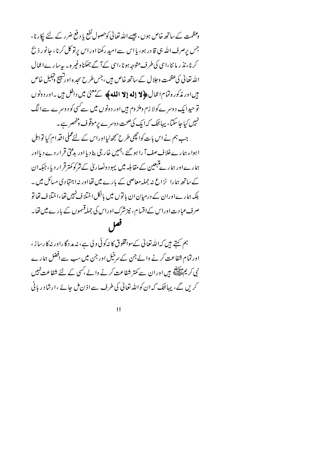وعظمت کے ساتھ خاص ہوں ، جیسے اللہ تعالیٰ کوحصول نفع یا دفع ضرر کے لئے پکار نا ، جس پرصرف الله ہی قا در ہو، پااس سے امید رکھنا اور اس پرتو کل کرنا ، جانور ذ بح کرنا، نذ ر ما ننا،اسی کی طرف متوجہ ہونا،اسی کےآ گے جھکناوغیر ہ ۔ بہ بیا رےا عمال الله تعالى كي عظمت وجلال كے ساتھ خاص ہيں ،جس طرح سجد ہ اورشبيح وتبليل خاص میں اور مذکور ہ تمام اعمال **﴿ لا إِله إِلا الله ﴾** کے معنیٰ میں داخل ہیں ۔اور د ونو ں تو حیدا یک د وسر ےکولا زم وملز وم ہیں اور د ونوں میں سے سی کو د وسر ے سے الگ نہیں کیا جا سکتا، یہائنک کہا بک کی صحت دوسرے برموقوف ومنحصر ہے ۔ جب ہم نے اس بات کوانچھی طرح سمجھ لیااوراس کے لئےعملی اقدام کیا تو اہلِ اہواء ہارےخلاف صف آ را ہو گئے ،ہمیں خار جی بنادیا اور بدعتی قرار دے دیااور ہمارےاور ہمارے تبعین کے مقابلہ میں یہود ونصاریٰ کے شرکو کمترقرار دیا، جبکہ ان کے ساتھ ہمارا پزاغ نہ جملہ معاصی کے بارے میں تھااور نہ اجتہادی مسائل میں ۔ بلکہ ہمارےاوران کے درمیان ان با توں میں بالکل اختلا ف نہیں تھا،اختلا ف تھا تو صرف عبادت اوراس کےاقسام، نیز شرک اوراس کی جملہ قسموں کے بارے میں تھا۔ فعل

ہم کہتے ہیں کہالڈرتعالیٰ کےسوامخلوق کا نیکوئی ولی ہے، نیہ مدد گا راور نیہ کا رسا ز ، اورتمام شفاعت کرنے والے جن کے سرخیل اور جن میں سب سے افضل ہمارے نی کر پمﷺ ہیں اور ان سے کمتر شفاعت کرنے والے ،کسی کے لئے شفاعت نہیں کریں گے، پہائیک کہ ان کواللہ تعالٰی کی طرف سے اذ ن مل جائے ،ارشا د ریانی

 $\overline{11}$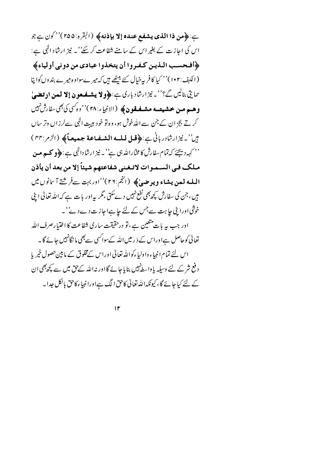بِ: ﴿ مِن ذا الَّذِي يشفع عنده إلا بإذنه﴾ (التِّره: ٢٥٥)''كون بِ جو اس کی اجازت کے بغیر اس کے سامنے شفاعت کر سکے''۔ نیز ارشاد الٰہی ہے: ﴿أَفْحَسَبِ الْذِينِ كَـفْـرِوا أَنْ يتخذُّوا عِبادي من دوني أُولياءَ﴾ (الكہف:١٠٢)'' کیا کافر پہ خیال کئے بیٹھے ہیں کہ میرےسواوہ میرے بندوں کواپنا حمايتي بناليں گے؟''۔نيز ارشاد باري ہے:﴿**ولا پشفعون إلا لم**ين **اد تضي**ٰ وهسم مسن خشيتسه مشيفيقون﴾ (الانبياء:٢٨)''وهڪن کي بھي سفارشِنهيں کرتے بچزان کے جن سے اللہ خوش ہو، و ہ تو خود ہیت الٰہی سےلرزاں وتر ساں بين'-نيزارشادرباني-: ﴿قبل لله الشفاعة جمهعاً﴾ (الزم:٢٢) '' کہہ دیجئے کہ تمام سفارش کا مخاراللہ ہی ہے''۔ نیز ارشادالٰہی ہے : ﴿ **و کہ ہ مین** ملك في السـمـوات لاتـغـني شفاعتهم شيئاً إلا من بعد أن يأذن المله لمعن يشاء ويوضىٰ﴾ (الجم:٢٢)''اوربہت سےفرشتے آ سانوں ميں ہیں ، جن کی سفارش کچھ بھی نفع نہیں دےسکتی ،مگر پیراور بات ہے کہ اللہ تعالیٰ اپنی خوثتی اوراینی جاہت سےجس کے لئے جا ہےاجاز ت دے دی'۔ اور جب بہ بات متعین ہے ، تو درحقیقت ساری شفاعت کا اختیارصرف اللہ تعالیٰ کوحاصل ہےاوراس کے دَ ر میں اللہ کےسواکسی سے بھی ما نگانہیں جائے گا۔ اس لئے تمام انبیاء واولیاءکواللہ تعالیٰ اوراس کےمخلوق کے مابین حصول خیریا د فع شر کے لئے وسیلہ یا واسط پہیں بنایا جائے گا اور نہ اللہ کے تق میں سے کچھ بھی ان کے لئے کیا جائے گا ، کیونکہاللہ تعالیٰ کاحق الگ ہےاورا نبیاء کاحق بالکل جدا۔

 $\mathsf{I}$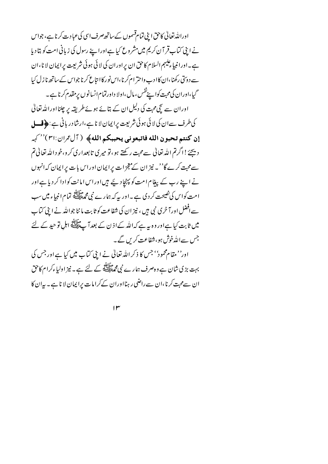اوراللہ تعالیٰ کاحق اپنی تمام قسموں کے ساتھ صرف اسی کی عبادت کرنا ہے، جواس نے اپنی کتاب قر آن کریم میں مشروع کیا ہےاوراپنے رسول کی زبانی امت کو بتادیا ہے۔اورانبیاء کیہم السلام کاحق ان پراوران کی لائی ہوئی شریعت پراپمان لا نا،ان سے دوئتی رکھنا،ان کاادب واحتر ام کرنا،اس نور کاا نتاع کرنا جواس کے ساتھ نا زل کیا گیا،اوران کی محبت کوا پنےنفس ، مال ،اولا داورتمام انسانوں پر مقدم کرنا ہے۔ اوران سے سچی محبت کی دلیل ان کے بتائے ہوئے طریقہ پر چلنااوراللہ تعالیٰ کی طرف سے ان کی لائی ہوئی شریعت پرایمان لا ناہے،ارشادر بانی ہے: ﴿ ق**سل** إن كنتم تحبون الله فاتبعوني يحببكم الله﴾ (آل عمران:٣١)''كهر دیجےُ؛اگرتم اللہ تعالیٰ سےمحبت رکھتے ہو،تو میری تابعداری کرو،خود اللہ تعالیٰ تم سے محبت کرے گا''۔ نیز ان کے معجزات پرایمان اوراس بات پرایمان کہ انہوں نے اپنے رب کے پیغام امت کو پہنچا دیئے ہیں اور اس امانت کوادا کر دیا ہے اور امت کواس کی نصیحت کر دی ہے ۔اور یہ کہ ہمارے نبی محمط ایک پی تمام انبیاء میں سب سے افضل اور آ خری نبی ہیں ، نیز ان کی شفاعت کو ثابت ما ننا جواللہ نے اپنی کتاب میں ثابت کیا ہےاور وہ یہ ہے کہاللہ کےاذ ن کے بعد آ پے پہلائی اہل تو حید کے لئے جس سےاللہ خوش ہو، شفاعت کریں گے۔ اور'' مقام محمود'' جس کا ذکر اللہ تعالیٰ نے اپنی کتاب میں کیا ہے اور جس کی

بہت بڑی شان ہے و ہصرف ہمارے نبی محمطی پیچھ کے لئے ہے ۔ نیز اولیاءکرام کاحق ان سےمحبت کرنا،ان سے راضی رہنااوران کےکرامات پراپمان لا ناہے۔ بیران کا

 $\mathsf{I} \mathsf{r}$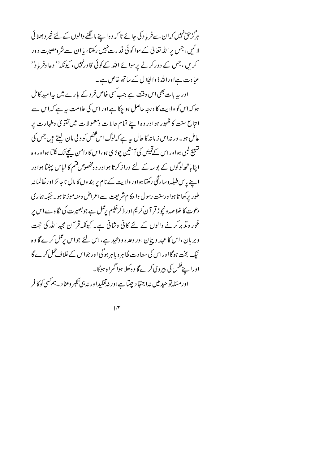ہرگز حق نہیں کہان سےفریا د کی جائے تا کہ وہ اپنے ما نگنے والوں کے لئے خیر و بھلائی لائنیں، جس پراللہ تعالیٰ کےسوا کوئی قدرت نہیں رکھتا، یا ان سے شرومصیبت دور کریں ، جس کے دورکرنے پرسوائے اللہ کےکوئی قادرنہیں، کیونکہ'' دعا وفریاد'' عبادت ہےاوراللہ ذ والجلال کے ساتھ خاص ہے۔

اور یہ بات بھی اس وقت ہے جب کسی خاص فر د کے بارے میں پیرامید کامل ہو کہ اس کو ولا پت کا درجہ حاصل ہو چکا ہے اور اس کی علامت ہیے کہ اس سے انتاع سنت کا ظہور ہواور وہ اپنے تمام حالا ت و معمولا ت میں تفویٰ وطہارت پر عامل ہو۔ ور نہ اس زیا نہ کا حال ہیرہے کہ لوگ اس شخص کو و لی مان لیتے ہیں جس کی تسبیح کمبی ہواوراس کے قمیص کی آ<sup>ستی</sup>ن چوڑی ہو،اس کا دامن پن<u>چ</u> تک لٹکتا ہواور وہ اپنا ہاتھ لوگوں کے بوسہ کے لئے دراز کرتا ہواور وہ مخصوص فتیم کا لباس پہنتا ہواور اپنے پاس طبلہ وسا رنگی رکھتا ہواور ولا بیت کے نام پر بندوں کا مال ناجا ئز اور ظالمانہ طور بركھا تا ہواورسنت رسول واحكام شريعت سےاعراض ومنہ موڑتا ہو۔جبكہ ہمارى دعوت کا خلا صہ ونیچوڑ قر آ ن کریم اور ذ کرحکیم برعمل ہے جوبصیرت کی نگاہ سےاس پر غور ویڈ بر کرنے والوں کے لئے کافی وشافی ہے۔ کیونکہ قر آن مجید اللہ کی حجت وبر ہان، اس کا عہد و پیان اور وعدہ ووعید ہے،اس لئے جواس پڑمل کرے گا وہ نیک بخت ہوگا اوراس کی سعادت ظاہر و باہر ہوگی اور جواس کےخلاف عمل کرے گا اورا پنےنفس کی پیروی کرے گا وہ کھلا ہوا گمراہ ہوگا۔ اورمسَله توحید میں نہ اجتہاد چلبا ہےاور نہ تقلیداور نہ ہی تکبر وعناد۔ہم کسی کوکا فر

 $1<sup>\alpha</sup>$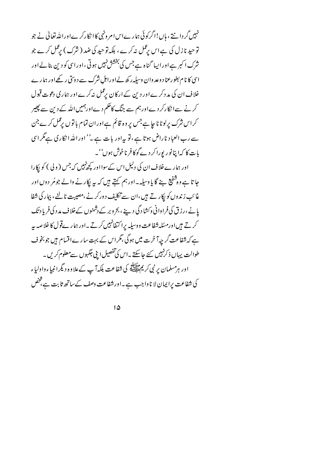نہیں گر دانتے ، ہاں!اگر کوئی ہمارےاس امر ونہی کاا نکارکرےاوراللہ تعالیٰ نے جو توحید نازل کی ہے اس پرعمل نہ کرے ، بلکہ توحید کی ضد ( شرک ) پرعمل کرے جو شرک ا کبر ہےاور ایپا گناہ ہے جس کی بخشش نہیں ہوتی ،اور اسی کو دین بنالےاور اسی کا نام بطورعنا د وعد وان وسیله رکھ لےاوراہل شرک سے د وسی رکھےاور ہما رے خلاف ان کی مد دکرے اور دین کے ارکان برعمل نہ کرے اور ہماری دعوت قبول کرنے سےا نکارکر دےاورہم سے جنگ کاحکم دےاورہمیں اللہ کے دین سے پھیر کراس شرک پرلوٹا نا جا ہےجس پر وہ قائم ہےاوران تمام با توں پڑکل کرے جن سے رب العباد ناراض ہوتا ہے ،تو بیراور بات ہے ۔''اور اللہ ا نکار کی ہےگر اسی بات کا کہا پنانور پورا کر دے گوکا فرناخوش ہوں''۔

اور ہمارےخلاف ان کی دلیل اس کے سوااور کچھ نہیں کہ جس ( و لی ) کو پکارا جا تا ہے وہ شفیع ہنے گا یا وسیلہ۔اور ہم کہتے ہیں کہ یہ پکار نے والے جومُر دوں اور غائب زندوں کو پکار تے ہیں،ان سے تکلیف دورکرنے ،مصیبت ٹالنے، بیار کی شفا یانے ،رزق کی فراوانی وکشادگی دیئے ، بحروبر کے دشمنوں کےخلاف مد د کی فریاد تک کرتے ہیںاورمسَلہ شفاعت ووسیلہ پراکتفانہیں کرتے۔اور ہمارےقول کا خلاصہ بیہ ہے کہ شفاعت گر چہآ خرت میں ہوگی،گراس کے بہت سارےاقسام ہیں جو بخو ف طوالت یہاں ذکر نہیں کئے جاسکتے ۔اس کی تفصیل اپنی جگہوں سےمعلوم کریں ۔ اور ہرمسلمان پر نبی کریمﷺ کی شفاعت بلکہآ پ کےعلاوہ دیگرانبیاءواولیاء کی شفاعت پرایمان لا نا واجب ہے۔اورشفاعت دصف کے ساتھ ثابت ہے، څض

 $1\Delta$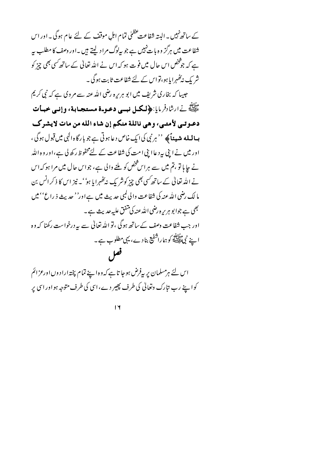کے ساتھ نہیں۔ البتہ شفاعت عظمٰیٰ تمام اہلِ موقف کے لئے عام ہوگی۔ اور اس شفاعت میں ہرگز وہ بات نہیں ہے جو پیادگ مراد لیتے ہیں ۔اور وصف کا مطلب پہ ہے کہ جوثخص اس حال میں فوت ہو کہ اس نے اللہ تعالٰی کے ساتھ کسی بھی چیز کو شر یک ندَگھہرا یا ہو،تواس کے لئے شفاعت ثابت ہوگی ۔

جبیبا کہ بخاری شریف میں ابو ہریرہ رضی اللہ عنہ سے مروی ہے کہ نبی کریم مَالِلَةِ نَے ارشادِفر مایا:﴿لَكُمِلْ نُبِسِي دَعَـوَةٌ مُستَجَبًابِيةٌ، وَإِنِّسِي خَبِيًّاتِ دعوتبي لأمتبي، وهي نائلة منكم إن شاء الله من مات لايشرك **بسالىلە شەپباَپ**چە ''ہر نبى كى ايك خاص د عا ہو تى ہے جو با رگا ہ الٰہى ميں قبول ہوگى ، اور میں نے اپنی بیرد عاا پنی امت کی شفاعت کے لئےمحفوظ رکھ لی ہے،اور و ہ اللہ نے جا ہا تو ،تم میں سے ہراس ؓخص کو ملنے والی ہے، جواس حال میں مرا ہو کہ اس نے اللہ تعالیٰ کے ساتھ کسی بھی چِرْ کوشر یک نہ کھُہرایا ہو' ۔ نیز اس کا ذکر انس بن ما لك رضي الله عنه كي شفاعت والي <sup>ل</sup>بي حديث مين ہے اور'' حديث ذ راع'' ميں بھی ہے جوابو ہریرہ رضی اللہ عنہ کی متفق علیہ *جد پ*ث ہے ۔ اور جب شفاعت وصف کے ساتھ ہوگی ، تو اللہ تعالیٰ سے پیردرخواست رکھنا کہ وہ ا ہے نبی اقلیقے کو ہماراشفیع بنا دے، یہی مطلوب ہے۔ فعل

اس لئے ہرمسلمان پر بیفرض ہوجا تا ہے کہ وہ اپنے تمام پختہ ارا دوں اورعزائم کواپنے رب تارک وتعالیٰ کی طرف پھیر دے،اسی کی طرف متوجہ ہواوراسی پر

 $\mathsf{I}\mathsf{Y}$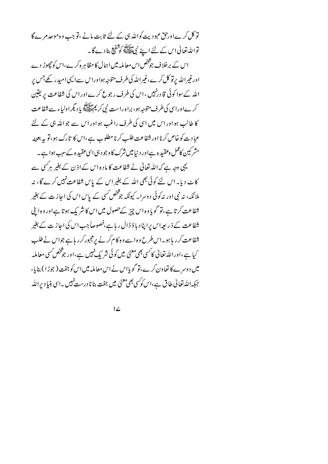تو کل کرےاور حق عبو دیت کواللہ ہی کے لئے ثابت مانے ،تو جب وہ موجد مرے گا تواللہ تعالیٰ اس کے لئے اپنے نبیﷺ کوشفیع بنا دے گا۔ اس کے برخلاف جوثخص اس معاملہ میں اہمال کا مظاہر ہ کرے،اس کوچھوڑ دے اورغیراللہ برتو کل کرے،غیراللہ کی طرف متوجہ ہواوراس سےالیں امیدر کھے جس بر اللہ کےسوا کوئی قا درنہیں ، اس کی طرف رجوع کرےاوراس کی شفاعت پریقین کر ےاوراسی کی طرف متوجہ ہو، براہ راست نبی کر یہ ایک یا دیگراولیاء سے شفاعت کا طالب ہواور اس میں اسی کی طرف راغب ہواور اس سے جواللہ ہی کے لئے عبادت کوخاص کرنا اور شفاعت طلب کرنا مطلوب ہے ،اس کا تارک ہو،تو ہے بعینہ مشرکین کاعمل وعقید ہ ہےاور دینامیں شرک کا وجود ہی اسی عقید ہ کےسب ہوا ہے ۔ یہی دجہ ہے کہ اللہ تعالیٰ نے شفاعت کا ماد ہ اس کے اذ ن کے بغیر ہرکسی سے کاٹ دیا۔اس لئے کوئی بھی اللہ کے بغیراس کے پاس شفاعت نہیں کرے گا، نہ ملائکہ، نہ نبی اور نہ کوئی دوسرا۔ کیونکہ جو شخص کسی کے پاس اس کی اجاز ت کے بغیر شفاعت کرتا ہے،تو گویا وہ اس چیز کےحصول میں اس کا شریک ہوتا ہےاور وہ اپنی شفاعت کے ذ ریعہ اس پراپنا دیا ؤ ڈال ریا ہے،خصوصاً جب اس کی اجاز ت کے بغیر شفاعت کرر ہاہو۔اس طرح وہ اسے وہ کام کرنے پرمجبورکرر ہاہے جواس نے طلب کیا ہے،اوراللہ تعالٰی کا کسی بھی معنیٰ میں کوئی شریک نہیں ہے،اور جوْ څص کسی معاملہ میں دوسر ےکا تعاون کرے،تو گو پااس نے اس معاملہ میں اس کو جفت ( جوڑ ا ) بنایا، جبکہ اللہ تعالیٰ طاق ہے،اس کو<sup>س</sup>ی بھی معنیٰ میں جفت بنانا درست نہیں ۔اسی بنیا دیراللہ

 $\overline{12}$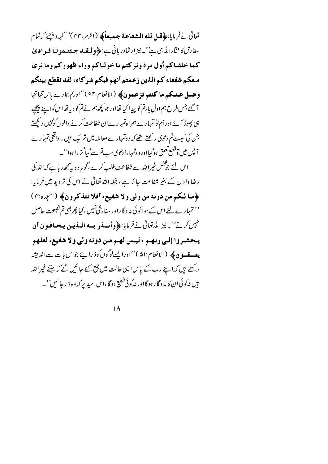تعالى نےفرمايا:﴿قبل لله الشفاعة جمعيعاً﴾ (الزمر:۴۴)'' كهدد يجحَ كه تمام سفارش کامخآرالله ہی ہے' نے نیز ارشادر بانی ہے:﴿ولقلہ جسٹتہونیا فیرادیٰ كما خلقناكم أول مرة وتركتم ما خولناكم وراء ظهوركم وما نرئ معكم شفعاء كم الذين زعمتم أنهم فيكم شركاء، لقد تقطع بينكم وضل عنكم ما كنتم تزعمون﴾ (الانعام:٩٣)''ادرتم بهارے پاس تنہا تنها آ گئے جس طرح ہم اول بارتم کو پیدا کیا تھااور جو کچھ ہم نے تم کودیا تھااس کواپنے پیچھپے ہی چھوڑ آ ئے اور ہم تو تمہار ے ہمراہ تمہار ےان شفاعت کرنے والوں کونہیں دیکھتے جن کی نسبت تم دعویٰ رکھتے تھے کہ وہ تمہارے معاملہ میں شریک ہیں۔ واقعی تمہارے آپس میں توقطع تعلق ہوگیااور وہ تمہارادعویٰ سب تم سے گیا گز را ہوا''۔ اس لئے جو څخص غیرالله سے شفاعت طلب کرے ،گویاوہ بہ پیچھ ریا ہے کہ الله کی رضا واذ ن کے بغیر شفاعت جائز ہے ، جبکہ اللہ تعالٰی نے اس کی تر دید میں فر مایا: ، ها لكم من دونه من ولي ولا شفيع، أفلا تتذكرون؟ (الهجده:٢) '' تمہارے لئے اس کےسوا کوئی مد دگاراورسفارشی نہیں ،کیا پھربھی تم نصیحت حاصل تہیں کرتے''۔نیزاللہ تعالیٰ نےفرمایا:﴿وانسلودِ بِسهِ اللَّذِينِ يَتَحَافِيونِ أَن يتحشيروا إلى ربهتم ، ليتس لهتم مين دونه ولي ولا شفيع، لعلهم **يتەقسون ﴾ (**الانعام:۵۱)''اوراپسےلوگوں کوڈ راپئے جواس بات سےاندیشہ ر کھتے ہیں کہ اپنے رب کے پاس ایپی حالت میں جمع کئے جا ئیں گے کہ جتنے غیراللہ ېېں نه کوئی ان کامد د گار ہوگا اور نه کوئی شفیع ہوگا،اس امیدیر که وه ڈ رجا ئیں''۔

 $\overline{1\Lambda}$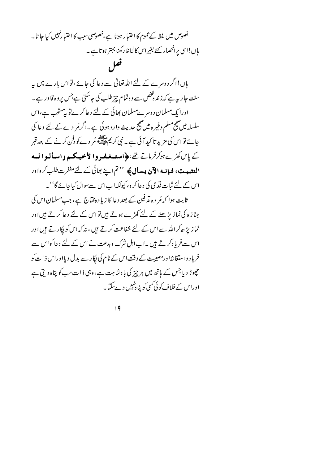نصوص میں لفظ کے عموم کا اعتبار ہوتا ہے،خصوصی سبب کا اعتبار نہیں کیا جا تا۔ ہاں!اسی پرانحصار کئے بغیراس کالحا ظ رکھنا بہتر ہوتا ہے ۔

قصل

ہاں!اگر دوسرے کے لئے اللہ تعالیٰ سے دعا کی جائے ،تو اس بارے میں یہ سنت جار ہہ ہے کہ زندہ ڈخص سے وہ تمام چیز طلب کی جاسکتی ہےجس پر وہ قا در ہے ۔ اورایک مسلمان د وسر ےمسلمان بھائی کے لئے دعا کرے تو بیمستحب ہے،اس سلسلہ میں صحیح مسلم وغیر ہ میں صحیح حدیث وارد ہوئی ہے ۔اگرمُر دے کے لئے دعا کی حائے تو اس کی مزید تا کیدا کی ہے۔ نبی کریمﷺ مُر دےکو دفن کرنے کے بعد قبر کے پاس کھڑے ہوکرفر ماتے تھے:﴿امیت فیفیروا لأ حیہ کسم وامساً لیوا لیے **التثبيت، فيانيه الآن يسأل ﴾** '' تم اسےٰ بِھائی کے لئے مغفرت طلب کرواور اس کے لئے ثبات قدمی کی د عاکر و، کیونکہ اباس سےسوال کیا جائے گا''۔ ثابت ہوا کہ مُر دہ تد فین کے بعد دعا کا زیاد ہختاج ہے، جب مسلمان اس کی جناز ہ کی نماز بڑھنے کے لئے کھڑے ہوتے ہیں تو اس کے لئے دعا کرتے ہیں اور نماز بڑھ کراللہ سے اس کے لئے شفاعت کرتے ہیں ، نہ کہ اس کو پکار تے ہیں اور اس سےفر یا دکرتے ہیں ۔اب اہل شرک و ہدعت نے اس کے لئے دعا کواس سے فریا د داستغا شاور مصیبت کے دقت اس کے نام کی ایکار سے بدل دیااوراس ذات کو چھوڑ دیا جس کے ہاتھ میں ہر چیز کی بادشاہت ہے،وہی ذات سب کو پناہ دیتی ہے اوراس کےخلاف کوئی سی کو بنا ہٰبیں دےسکتا۔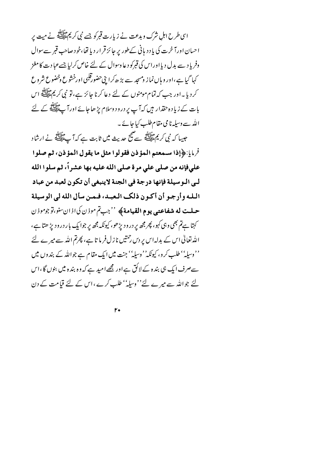اسی طرح اہل شرک و بدعت نے زیارت قبرکو جسے نبی کریمﷺ نے میت پر احسان اورآ خرت کی یا د د مانی کے طور پر جائز قرار دیا تھا،خو دصاحب قبر سے سوال وفریا د سے بدل دیااوراس کی قبرکو دعا وسوال کے لئے خاص کرلیا جسےعماد ت کا مغز کہا گیا ہے ،اور و ہاں نماز ومسجد سے بڑ ھ کرا بنی حضورقلبی اورخشوع وخضوع شروع کر دیا ۔اور جب کہ تمام مومنوں کے لئے دعا کرنا جائز ہے، تو نبی کریم علاقلہ اس بات کے زیاد ہ حقدار ہیں کہآ پ پر درود وسلام پڑ ھاجائے اور آ پے ﷺ کے لئے اللہ سے وسیلہ نا می مقام طلب کیا جائے ۔

جیسا کہ نبی کریم عقلاتیہ سے صبح حدیث میں ثابت ہے کہ آپ علیللہ نے ارشاد فرمايا: ﴿ إِذَا سَسْمَعْتُمُ الْمُؤْذِنِ فَقُولُوا مِثْلِ مَا يَقُولُ الْمُؤْذِنِ، ثُمَّ صَلُّوا على فإنه من صلى على مرة صلى الله عليه بها عشراً، ثم سلوا الله لـى الـوسيلة فإنها درجة في الجنة لاينبغي أن تكون لعبد من عباد البله وأرجو أن أكون ذلك العبيد، فيمين سأل الله لي الوسيلة حيلت له شفاعتي يوم القيامة﴾ ''جبتم موزن كي اذان سنو،توجوموزن کہتا ہےتم بھی وہی کہو، پھر مجھ پر درود پڑھو، کیونکہ مجھ پر جوا یک بار درود پڑ ھتا ہے، الڈرتعالیٰ اس کے بدلہ اس پر دس رحمتیں نا زل فر ما تا ہے، پھرتم اللہ سے میرے لئے ''وسپلہ'' طلب کرو، کیونکہ''وسپلہ'' جنت میں ایک مقام ہے جواللہ کے بندوں میں سےصرف ایک ہی بندہ کے لائق ہےاور مجھےامید ہے کہ وہ بندہ میں بنوں گا،اس لئے جواللہ سے میرے لئے''وسلہ'' طلب کرے ،اس کے لئے قیامت کے دن

 $\mathsf{r} \bullet$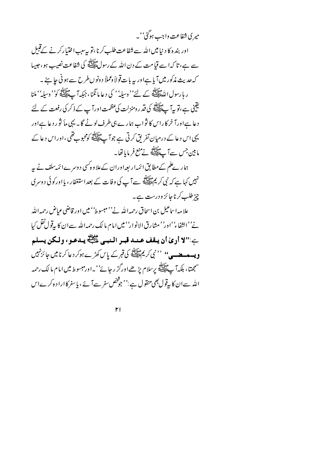میر کی شفاعت واجب ہوگئی''۔

اور بندہ کا د نیا میں اللہ سے شفاعت طلب کرنا،تو یہ سب اختیارکر نے کےقبیل سے ہے، تا کہ اسے قیامت کے دن اللہ کے رسولﷺ کی شفاعت نصیب ہو،حبیبا کہ حدیث مذکور میںآ پاہےاور یہ بات قولاً دعملاً د ونو ںطرح سے ہو نی جا ہے ۔ ر ہا رسول اللّٰہﷺ کے لئے'' وسیلہ'' کی دعا ما نگنا ، جبکہ آ ۓ لَیْکَ کُمْ' وسیلہ'' ملنا یقن<br>نثینی ہے،تو یہ آپ پاپس<sup>چھ</sup> کی قدر دمنزلت کی عظمت اور آپ کے ذکر کی رفعت کے لئے د عا ہےاورآ خرکاراس کا نواب ہارے ہی طرف لوٹے گا۔ یہی ماٗ نوْ ر د عا ہےاور یہی اس د عا کے درمیان تفریق کرتی ہے جوآ پ ایک کومحبوب تھی ،اوراس د عا کے ما بين جس سے ٱپﷺ نے منع فر مایا تھا۔

ہمار پے علم کےمطابق ائمّہ ار بعہ اوران کےعلاوہ کسی دوسرےائمّہ سلف نے بہر نہیں کہا ہے کہ نبی کریمﷺ سےآ پ کی وفات کے بعداستغفار ، یا اور کوئی دوسری چیز طلب کرنا جائز ودرست ہے۔

علا مہ اساعیل بن اسحاق رحمہ اللہ نے''مبسوط'' میں اور قاضی عیاض رحمہ اللہ نے''الثفاءُ''اور''مشارق الانوار'' میں امام ما لک رحمہاللہ سےان کا بیرقولنقل کیا بِ:"لا أرىٰ أن يتقف عند قبير النبي ءَلِيِّكِ يدعو، ولكن يسلم **ویسے مضیے''** '' نبی کریمﷺ کی قبر کے پاس کھڑے ہوکر دعا کرنا میں جائز نہیں سمجھتا، بلکہآ پے اللہ پر سلام پڑھےاورگز رجائے''۔اورمبسوط میں امام ما لک رحمہ الله سےان کا بہ قول بھی منقول ہے :'' جو شخص سفر سے آئے ، یا سفر کا ارا د ہ کر ےاس

 $\mathsf{r}$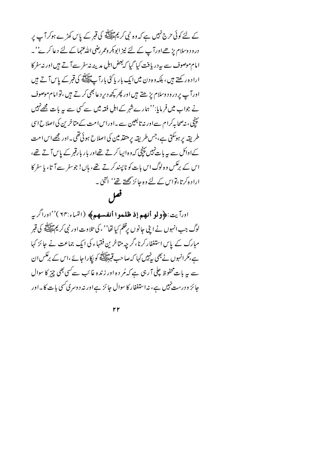کے لئے کوئی حرج نہیں ہے کہ وہ نبی کر پم علاقلہ کی قبر کے پاس کھڑے ہوکر آپ پر درود وسلام پڑھےاورآ پ کے لئے نیز ابوبکر وعمر رضی اللہ عنہما کے لئے دعا کر پے''۔ امام موصوف سے بہرر بافت کیا گیا کہ بعض اہل مدینہ نہ سفر سےآتے ہیں اور نہ سفر کا ارادہ رکھتے ہیں، ہلکہوہ دن میں ایک بار پا کئی بارآ پے پھیلاتی کی قبر کے پاس آ تے ہیں اورآ پ پر درود وسلام پڑھتے ہیں اور پھر کچھ دیر د عالجھی کرتے ہیں ،تو امام موصوف نے جواب میں فرمایا:''ہمارےشہر کے اہل فقہ میں سے کسی سے یہ بات مجھےنہیں سپنچی، نہ صحابہ کرام سےاور نہ تابعین سے ۔اوراس امت کے متاخر <sup>من</sup> کی اصلاح اسی طریقہ پر ہوسکتی ہے،جس طریقہ پر متقدمین کی اصلاح ہوئی تھی۔اور مجھےاس امت کےادائل سے یہ بات نہیں پیچی کہ دہ ایپا کرتے تھےاور بار بارقبر کے پاس آتے تھے، اس کے برعکس وہ لوگ اس بات کو ناپسند کرتے تھے، ہاں! جوسفر سے آتا، با سفر کا ارادہ کرتا،نواس کے لئے وہ جائز پچھتے تھے'' انتہا ۔ فعل

اورآيت:﴿ولو أنهم إذ ظلموا أنفسهم﴾ (النباء:٦٣)''اوراگريه لوگ جب انہوں نے اپنی جانوں پرظلم کیا تھا'' ، کی تلاوت اور نبی کریم ﷺ کی قبر مبارک کے پاس استغفار کرنا،گر چہ متاخرین فقہاء کی ایک جماعت نے جائز کہا ہے،مگرانہوں نے بھی بہٰنیں کہا کہ صاحب قبر اللہ کو ایکارا جائے ،اس کے برعکس ان سے ہیہ بات محفوظ چلی آ رہی ہے کہ مُر دہ اور زندہ غائب سے کسی بھی چیز کا سوال جائز ودرست نہیں ہے، نہ استغفار کا سوال جائز ہےاور نہ دوسری سی بات کا۔اور

٢r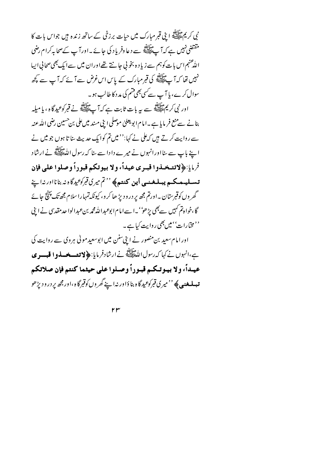نی کریم ﷺ ابنی قبر مبارک میں حیات برزخی کے ساتھ زندہ ہیں جواس بات کا مقتضی نہیں ہے کہ آپ ﷺ سے دعا وفریاد کی جائے۔اورآپ کےصحابہ کرام رضی اللهْ عنهم اس بات کوہم سے زیاد ہ بخو پی جانتے تھےاوران میں سے ایک بھی صحافی ایپا نہیں تھا کہ آپ اپنے کی قبر مبارک کے پاس اس غرض سے آئے کہ آپ سے کچھ سوال کرے، یا آپ سے سی بھی قسم کی مد د کا طالب ہو۔

اور نبی کریم اینڈ<br>اور نبی کریم ایسلی سے سر بات ثابت ہے کہ آ پ ایسلی نے قبر کوعیدگا ہ ، یا میلہ بنانے سےمنع فر مایا ہے۔امام اپویعلیٰ موصلی اپنی مسند میںعلی بن حسین رضی اللہ عنہ سے روایت کرتے ہیں کہ علی نے کہا:'' میں تم کوایک حدیث ساتا ہوں جو میں نے اپنے باپ سے سااورانہوں نے میرے دادا سے سا کہ رسول اللّٰہِ اللّٰہِ اللّٰہِ عَلَيْ اللّٰہِ کے ارشاد فرمايا:﴿لاتشخـذوا قبـري عيداً، ولا بيوتكم قبوراً وصلوا على فإن تىسلىيەھىكى**م يېلىغىنىي أين كنتىم** پ<sup>ە ، ت</sup>ىم ميرى قبرك<sup>و</sup> يدىگاندا در نەاپنے گھر وں کوقبرستان ۔اورتم مجھ پر درود پڑ ھا کر و، کیونکہ تمہارا سلام مجھ تک پینچ جائے گا،خواہ تم کہیں سے بھی پڑھو''۔اسےامام ابوعبداللہ محمہ بن عبدالوا حدمقدسی نے اپنی ''مخ<sub>ی</sub>ارات'' میں بھی روایت کیا ہے۔

اور امام سعید بن منصور نے اپنی سنن میں ابوسعید مولی ہروی سے روایت کی ہے،انہوں نے کہا کہ رسول الڈ علاقات نے ارشادفر مایا: ﴿ لا تع**سے فسادو الْفُبِسو ي** عيداً، ولا بيوتكم قبوراً وصلوا على حيثما كنتم فإن صلاتكم **تېه بلهغنې په** ''ميري **تب**رکوعيد گاه بنا دَاور نه اپنے گھر وں کوقبرگاه ،اور مجھ ير درود پڑھو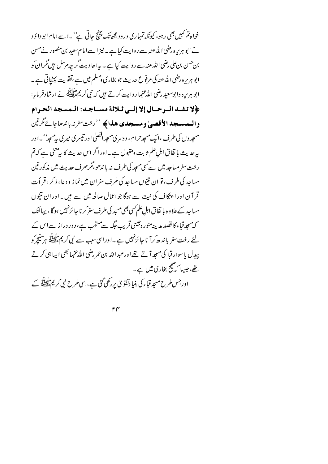خواہ تم کہیں بھی رہو، کیونکہ تمہاری درود مجھ تک پنتج جاتی ہے' ۔اسے امام ابو داؤد نے ابو ہریرہ رضی اللہ عنہ سے روایت کیا ہے۔ نیز اسے امام سعید بن منصور نےحسن بن حسن بن علی رضی الله عنه سے روایت کیا ہے۔ یہ احادیث گر چہ مرسل ہیں گران کو ابو ہریرہ رضی اللہ عنہ کی مرفوع حدیث جو بخاری دمسلم میں ہے ،تقویت پہنچاتی ہے۔ ابو ہریرہ وابوسعید رضی اللّٰہ عنہا روایت کرتے ہیں کہ نبی کریمﷺ نے ارشادفر مایا: ﴿لا تشيد البرحيال إلا إليي ثلاثة مسياجيد: اليمسجد الحرام والممسجد الأقصبي ومسجدي هذاكة ''رخت سفرنه باندراء كأرتين مسجد وں کی طرف ،ایک مسجد حرام ، د وسری مسجد اقصلی اور تیسر ی میری پیمسجد''۔اور بپرحدیث با نفاق اہلِ علم ثابت ومقبول ہے۔اور اگر اس حدیث کا بی<sup>معن</sup>یٰ ہے کہ تم رخت سفرمساجد میں سے *کسی مسجد* کی طرف نہ با ند*ھو،مگر*صرف حدیث میں مذکور تین مساجد کی طرف، تو ان نتیوں مساجد کی طرف سفران میں نماز ودعا، ذکر ، قر اُ ت قر آن اور اعتکاف کی نیت سے ہوگا جواعمال صالحہ میں سے ہیں۔اور ان نتیوں مساجد کے علاوہ یا تفاق اہل علم سی بھی مسجد کی طرف سفر کرنا جا ئزنہیں ہوگا ، پہانتک کہ میچدقباء کا قصد مدینہ منورہ جیسی قریب جگہ سےمستحب ہے، دور درا ز سے اس کے لئے رخت سفر یا ندھ کرآ نا جائز نہیں ہے۔اوراسی سبب سے نبی کر یم ﷺ ہر تنیچ کو پیږل یا سوار قبا کی مسجد آ تے تھے اورعبد الله بن عمر رضی الله عنہما بھی ایسا ہی کر تے تھے،جیسا کہ پیج بخاری میں ہے۔ اور جس طرح مسجد قباء کی بنیا دتفو پی پررکھی گئی ہے،اسی طرح نبی کر پم سابقہ کے

 $r \gamma$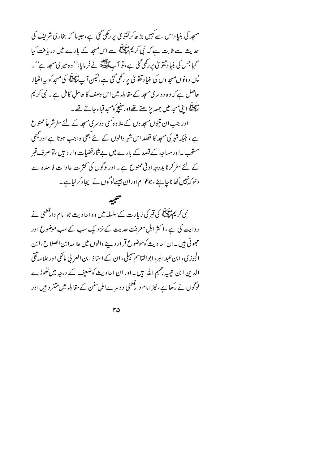مسجد کی بنیا د اس سے کہیں بڑ ھ کرتفو ٹی پر رکھی گئی ہے، جیپا کہ بخاری شریف کی حدیث سے ثابت ہے کہ نبی کر یم ﷺ سے اس مسجد کے بارے میں دریافت کیا گیا جس کی بنیا دتقویٰ پررکھی گئی ہے،تو آ پائی ایک فرمایا:'' وہ میری مسجد ہے''۔ پس دونوں مسجد وں کی بنی<u>ا</u> دتقو کی بر رکھی گئی ہے،لیکن آ <sub>ہے گل</sub>یلاتھ کی مسجد کو پی**ا متیا**ز حاصل ہے کہ وہ د وسری مسجد کے مقابلہ میں اس وصف کا حامل کامل ہے ۔ نبی کریم ۔<br>علیمت ابنی مسجد میں جمعہ پڑھتے تھےاور سنیچر کومسجد قباء جاتے تھے۔ اور جب ان نتیوں مسجد وں کے علاوہ کسی دوسری مسجد کے لئے سفرشر عاً ممنوع ہے ، جبکہ شہر کی مسجد کا قصد اس شہر والوں کے لئے بھی واجب ہوتا ہے اور بھی مستحب ۔اورمساجد کے قصد کے بارے میں بےشارفضیات وارد ہیں ،تو صرف قبر

کے لئے سفر کرنا بدرجہ اولیٰ ممنوع ہے۔اورلوگوں کی کثر ت عادات فاسدہ سے دھو کہ نہیں کھا ناچا ہئے ، جوعوام اوران جیسےلوگوں نے ایجا دکرلیا ہے۔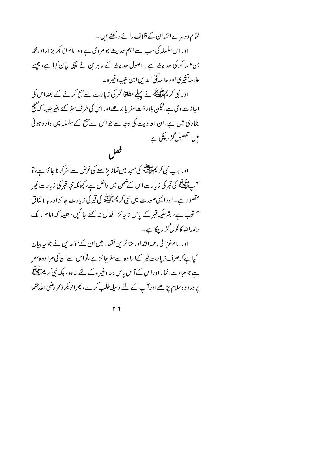تمام دوسرےائمٰہان کےخلاف رائے رکھتے ہیں۔ اوراس سلسلہ کی سب سے اہم حدیث جومروی ہے وہ امام ابو بکر بزار اورمحمہ بن عسا کر کی حدیث ہے۔اصول حدیث کے ماہرین نے یہی بیان کیا ہے، جیسے علا مەقشىرى اورعلا مەتقى الدين ابن تيمىيەدغىرە -اور نبی کریم ایشان نے پہلے مطلقاً قبر کی زیارت سے منع کرنے کے بعد اس کی اجازت دی ہے،لیکن بلا رخت سفر یا ند ھےاوراس کی طرف سفر کئے بغیر جیسا کہ صحیح بخاری میں ہے،ان احادیث کی وجہ سے جواس سے منع کےسلسلہ میں وارد ہوئی میں تفصیل گز رپچکی ہے۔ فعل

اور جب نبی کریم مقاب<sub>ل</sub>تھ کی مسجد میں نما زیڑ ھنے کی غرض سے سفر کرنا جا ئز ہے ، تو آ پے اپنے کی قبر کی زیارت اس کے ضمن میں داخل ہے ، کیونکہ تنہا قبر کی زیارت غیر مقصود ہے۔اورالیمی صورت میں نبی کریمﷺ کی قبر کی زیارت جائز اور بالا تفاق مستحب ہے، بشرطیکہ قبر کے پاس ناجائز افعال نہ کئے جائیں، جیپا کہ امام مالک رحمہاللہ کا قول گز رچکا ہے۔ اورا مام غزالی رحمہ اللہ اور متاخرین فقہاء میں ان کے مؤیدین نے جو بہ بیان کیا ہے کہ صرف زیارت قبر کےاراد ہ سےسفر جائز ہے،تواس سےان کی مراد و ہ سفر ہے جوعبا د ت ،نما ز اوراس کےآ س پاس د عاوغیر ہ کے لئے نہ ہو، بلکہ نبی کر یم علائقی ہے پر درود وسلام پڑھےاورآپ کے لئے وسیلہ طلب کرے، پھرابو بکر وعمر رضی اللہ عنہما

 $\mathsf{r}\mathsf{y}$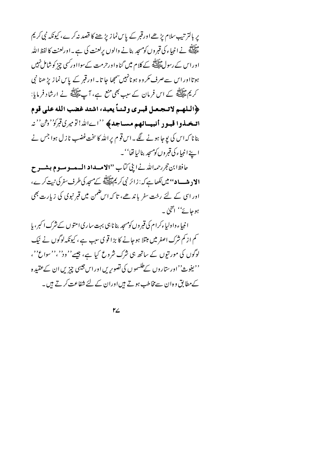یر بالتر تیپ سلام پڑھے اورقبر کے پاس نماز پڑھنے کا قصد نہ کرے، کیونکہ نبی کریم ۔<br>علیمنگ نے انبیاء کی قبروں کومسجد بنانے والوں پرلعنت کی ہے ۔اورلعنت کا لفظ اللہ اوراس کے رسولﷺ کے کلام میں گناہ اورحرمت کےسوااورکسی چیز کوشامل نہیں ہوتااور اس سے صرف مکروہ ہو نانہیں سمجھا جا تا۔اور قبر کے پاس نماز پڑ ھنا نبی کریم مثالِلہ کے اس فرمان کے سبب بھی منع ہے، آپ علیللہ نے ارشاد فرمایا: ﴿اللهم لاتجعل قبري وثنياً يعبد، اشتد غضب الله على قوم اتىخىلدوا قېبور أنېيسائهم مىساجدۇ ''اےالله! تۆمپرىقېركۆ' دِثن'' نە بنا نا کہ اس کی یوجا ہونے گئے ۔اس قوم پر اللہ کا سخت غضب نا ز ل ہوا جس نے اپنے انبياء کی قبروں کومسجد بناليا تھا''۔

حافظ ابن حجر رحمه الله نے اپنی کتاب ''الامسداد المسمسو مسوم بیشسو ح **الا د میں د '' میں کی ا**ہے کہ: زائر نبی کر پر سابق کے مسجد کی طرف سفر کی نبیت کرے، اور اسی کے لئے رخت سفر یا ندھے، تا کہ اس ضمن میں قبر نبوی کی زیارت بھی ہوجائے'' انتہجا ۔

ا نبیاء واولیاءکرام کی قبروں کومسجد بنانا ہی بہت ساری امتوں کے شرک اکبر، پا کم از کم شرک اصغر میں مبتلا ہوجانے کا بڑا قو ی سب ہے ، کیونکہ لوگوں نے نیک لوگوں کی مورتیوں کے ساتھ ہی شرک شروع کیا ہے، جیسے''وڈ'،''سواع''، ''یغوث''اورستاروں کےطلسموں کی تصویریں اور اس جیسی چیزیں ان کےعقیدہ کےمطابق وہ ان سے مخاطب ہوتے ہیںاوران کے لئے شفاعت کرتے ہیں۔

 $\mathsf{r}\mathsf{L}$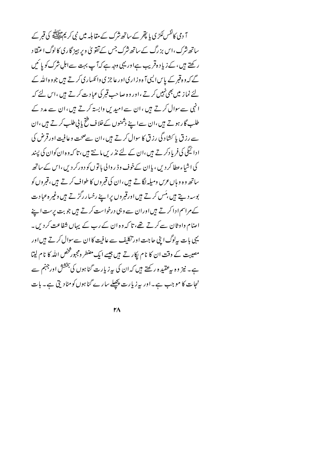آ دی کانفس لکڑی یا پتھر کے ساتھ شرک کے مقابلیہ میں نبی کریم عقالِتھ کی قبر کے ساتھ شرک ،اس بز رگ کے ساتھ شرک جس کے تفویٰ ویر ہیز گا ری کالوگ اعتقا د ر کھتے ہیں ، کے زیاِ د ہ قریب ہےاور یہی وجہ ہے کہ آپ بہت سےاہل شرک کو پائنیں گے کہ وہ قبر کے پاس ایسی آ ہ وز اری اور عاجز ی وائکساری کرتے ہیں جووہ اللہ کے لئے نماز میں بھی نہیں کرتے ،اور وہ صاحب قبر کی عبادت کرتے ہیں ،اس لئے کہ انہی سے سوال کرتے ہیں ،ان سے امیدیں وابستہ کرتے ہیں،ان سے مدد کے طلب گار ہوتے ہیں،ان سےاپنے دشمنوں کےخلاف فتح پانی طلب کرتے ہیں،ان سے رزق پا کشاد گی رزق کا سوال کرتے ہیں ،ان سے صحت وعافیت اورقرض کی ا دائیگی کی فریا دکر تے ہیں ،ان کے لئے نذ ریں مانتے ہیں ، تا کہ وہ ان کوان کی پیند کی اشاءعطا کر دیں ، یا ان کےخوف وڈ ر والی با توں کو د ورکر دیں ،اس کے ساتھ ساتھ وہ وہاںعرس ومیلہ لگا تے ہیں ،ان کی قبروں کا طواف کرتے ہیں ،قبروں کو بوسہ دیتے ہیں ،مَس کرتے ہیں اورقبروں پراپنے رخسار رگڑتے ہیں وغیر ہ عبادت کے مراسم ادا کرتے ہیں اوران سے وہی درخواست کرتے ہیں جو بت پرست اپنے اصام واوثان سے کرتے تھے، تا کہ وہ ان کے رب کے یہاں شفاعت کردیں۔ یہی بات پہلوگ اپنی جاجت اور تکلیف سے عافیت کا ان سے سوال کرتے ہیں اور مصیبت کے وقت ان کا نام پکار تے ہیں جیسے ایک مضطر ومجبور شخص اللہ کا نام لیتا ہے۔ نیز وہ سرعقیدہ رکھتے ہیں کہ ان کی سرزیارت گناہوں کی بخشش اور جہنم سے نجات کا موجب ہے۔اور پہ زیارت پچھلے سارے گناہوں کومٹادیں ہے۔ بات

 $\mathsf{r}\wedge$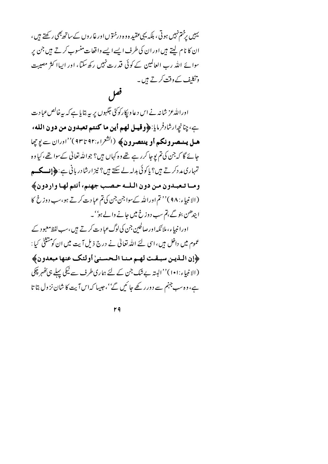یہیں برختم نہیں ہوتی ، بلکہ یہی عقید ہ و ہ درختوں اور غاروں کے ساتھ بھی رکھتے ہیں ، ان کا نام لیتے ہیں اور ان کی طرف ایسے ایسے واقعات منسوب کرتے ہیں جن پر سوائے اللہ رب العالمین کے کوئی قدرت نہیں رکھ سکتا، اور ایپاا کثر مصیبت وتکلیف کے وقت کرتے ہیں۔

اورالله عز شانہ نے اس دعا و پکارکوئی جگہوں پر پہ بتایا ہے کہ بیہ خالص عبادت بِ، چنانچهارشادفرمايا:﴿وقيسل لهم أين ما كنتم تعبدون من دون الله، هيل يسعسرونكم أو ينتصرون﴾ (الشعراء:٩٢ تا٩٣)''اوران سے يوچھا جائے گا کہ جن کی تم یوجا کرر ہے تھے وہ کہاں ہیں؟ جواللہ تعالٰی کےسوا تھے، کیا وہ تمہاری مد دکر تے ہیں؟ پاکوئی بدلہ لے سکتے ہیں؟ نیز ارشادر بانی ہے:﴿ إِنِسْكُمْ ۖ ومـا تـعبـدون مـن دون الـلـه حـصـب جهنم، أنتم لهـا واردون﴾ (الانبياء: ٩٨)'' تم اورالله كے سواجن جن كى تم عبادت كرتے ہو،سب دوزخ كا اپندھن بنو گے ،تم سب د وزخ میں جانے والے ہو' ۔ اورا نبہاء، ملائکہ اورصالحین جن کی لوگ عبا دیے کرتے ہیں،سب لفظ معبود کے عموم میں داخل ہیں، اسی لئے اللہ تعالیٰ نے درج ذیل آیت میں ان کو مشتئیٰ کیا : ﴿إِن اللَّذِينِ سَبِّقْتِ لَهِمْ مِنا الْحَسَّنِيِّ أُولَئِكَ عَنِهَا مَبْعَدُونِ﴾ (الانبياء:١٠١)''البتہ بے شک جن کے لئے ہماری طرف سے نیکی پہلے ہی َکھُہر چِکی ہے، وہ سب جہنم سے دور رکھے جا ئمیں گے''،حبیبا کہ اس آیت کا شان نز ول بتا تا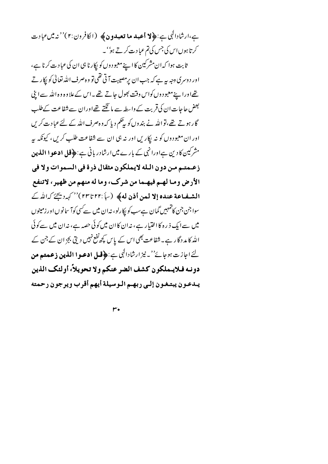ہے،ارشادالہٰی ہے:﴿لا أعبد ما تعبدون﴾ (الکافرون:٢)''ندمیں عبادت کرتا ہوں اس کی جس کی تم عبادت کرتے ہو<sup>''</sup>۔

ثابت ہوا کہ ان مشرکین کا اپنے معبود وں کو پکار نا ہی ان کی عبادت کرنا ہے، اور د وسری وجہ بہ ہے کہ جب ان پر مصیبت آتی تھی تو و ہ صرف اللہ تعالٰی کو پکار تے تھےاورا پنے معبو دوں کواس وقت بھول جاتے تھے ۔اس کےعلاوہ وہ اللہ سےابنی بعض حاجات ان کی قربت کے واسطہ سے ما نگتے تھےاوران سے شفاعت کےطلب گار ہوتے تھے،تواللہ نے بندوں کو یہ چکم دیا کہ وہ صرف اللہ کے لئے عبادت کریں اور ان معبودوں کو نہ اپکاریں اور نہ ہی ان سے شفاعت طلب کریں، کیونکہ ہیر مشرکین کا دین ہےاورانہی کے بارے میں ارشادر بانی ہے : ﴿ **قل ادعوا اللَّذين** زعـمتـم مـن دون الـله لايملكون مثقال ذرة في السموات ولا في الأرض ومـا لهـم فيهـما من شرك، وما له منهم من ظهير، لاتنفع الشفاعة عنده إلا لمعن أذن له﴾ (س):٢٢ تا٢٣ )'' كهرد يحيَّ كهالله ك سوا جن جن کاتمہمیں گمان ہےسب کو پکارلو، نہان میں سے سی کوآ سانوں اور زمینوں میں سےایک ذ رہ کا اختیار ہے، نہ ان کا ان میں کوئی حصہ ہے، نہ ان میں سے کوئی اللہ کا مدد گا رہے۔شفاعت بھی اس کے پاس کچھ نفع نہیں دیتی بجز ان کے جن کے لئے اجاز ت ہوجائے''۔ نیز ارشادال<sup>ل</sup>ی ہے : ﴿ **قسل ادعبوا اللہ بین ذعمتہ من** دونـه فـلايـملكون كشف الضر عنكم ولا تحويلاً، أولئك الذين يبدعون يبتغون إلىى ربهم الوسيلة أيهم أقرب ويرجون رحمته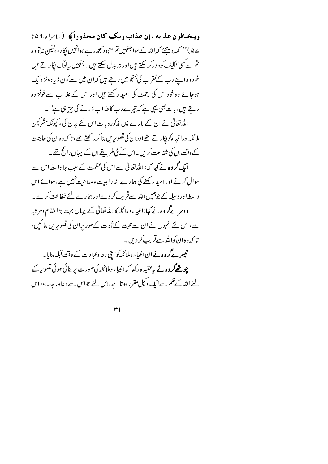ويخافون عذابه ، إن عذاب ربك كان محذوراً﴾ (الابراء:٥٦ ے۵ )'' کہہ دیجئے کہ اللہ کےسوا جنہیں تم معبود سمجھ رہے ہوانہیں پکار و،لیکن نہ تو وہ تم سے کسی تکلیف کو د ورکر سکتے ہیں اور نہ بدل سکتے ہیں ۔جنہیں بہاوگ پکار تے ہیں خود وہ اپنے رب کےتقر ب کی جنتجو میں رہتے ہیں کہان میں سے کون زیاد ہ نز دیک ہوجائے وہ خود اس کی رحمت کی امید رکھتے ہیں اور اس کے عذاب سے خوفز دہ ر بتے ہیں، بات بھی یہی ہے کہ تیرے رب کا عذاب ڈ رنے کی چیز ہی ہے''۔ اللہ تعالٰی نے ان کے بارے میں مذکورہ بات اس لئے بیان کی، کیونکہ مشرکین ملائکہ اورانبیاءکو پکار تے تھےاوران کی تصویریں بنا کررکھتے تھے، تا کہ وہ ان کی حاجت کے وقت ان کی شفاعت کریں۔اس کے کٹی طریقے ان کے یہاں رائج تھے۔ **ایک گروہ نے کہا کہ**: اللہ تعالٰی سے اس کی عظمت کے سب بلا واسطہ اس سے سوال کرنے اور امید رکھنے کی ہمارےا ندرا ہلیت وصلاحیت نہیں ہے،سوائے اس واسطہاور وسیلہ کے جوہمیں اللہ سےقریب کر دےاور ہمارے لئے شفاعت کرے۔ دوسر ہےگروہ نے کہا: انبیاء وملائکہ کا اللہ تعالٰی کے یہاں بہت بڑا مقام ومرتبہ ہے،اس لئے انہوں نے ان سےمحبت کے ثبوت کےطور پران کی تصویریں بنائمیں، تا که وه ان کوالله سےقریب کر دیں۔ تیسر کےگروہ نےان انبیاءوملا ئکہ کوا بی دعاوعبا دت کے وقت قبلہ بنایا۔ چو تھے**گروہ نے** پی<sup>و</sup>قید ہ رکھا کہ انبیاء وملائکہ کی صورت پر بنائی ہوئی تصویر کے لئے اللہ کے حکم سےایک وکیل مقرر ہوتا ہے،اس لئے جواس سے دعا ور جاءاوراس

 $r<sub>1</sub>$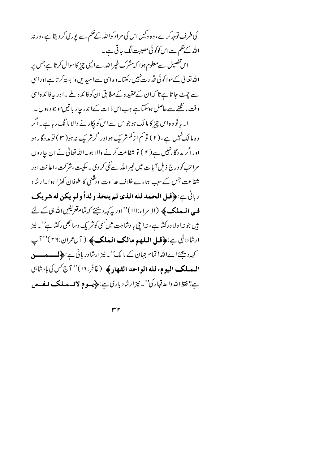کی طرف توجہ کرے، وہ وکیل اس کی مرا دکواللہ کے حکم سے یوری کر دیتا ہے، ورنہ اللہ کے حکم سےاس کوکوئی مصیبت لگ جاتی ہے۔ اس تفصیل سےمعلوم ہوا کہ مشرک غیراللہ سےالیں چیز کا سوال کرتا ہے جس پر الله تعالیٰ کےسوا کوئی قدرت نہیں رکھتا۔ وہ اسی سے امیدیں وابستہ کرتا ہےاوراسی سے جہٹے جا تا ہے تا کہ ان کےعقید ہ کےمطابق ان کو فائیدہ ملے ۔اور یہ فائیدہ اسی وقت ما نگنے سے حاصل ہوسکتا ہے جب اس ذ ات کےا ندر جا ریا تیں موجود ہوں۔ ا۔ ہا تو وہ اس چز کا ما لک ہو جواس سے اس کو لکار نے والا ما ٹک ریا ہے۔اگر وہ مالک نہیں ہے، ( ۲ ) تو کم از کم شریک ہواورا گرشریک نہ ہو( ۳ ) تو مد دگار ہو اوراگر مد دگا رنہیں ہے( ۴ ) تو شفاعت کرنے والا ہو۔اللہ تعالٰی نے ان جاروں مراتب کو درج ذیل آیات میں غیر اللہ سےنفی کر دی ۔ ملکیت ،نثر کت ،اعا نت اور شفاعت جس کے سب ہمارے خلاف عداوت ورشنی کا طوفان کھڑا ہوا۔ارشاد رباني ج:﴿قل الحمد لله الذي لم يتخذ ولداً ولم يكن له شريك ف المعلک کا (الاسراء:۱۱۱)''اور پہ کہہ دیجئے کہ تمام تعریفیں اللہ ہی کے لئے ہیں جو نہ اولا درکھتا ہے، نہ اپنی با دشاہت میں کسی کوشر یک وساحجھی رکھتا ہے''۔ نیز ارشادالی ہے: ﴿ فَعلِ الْمَلْهِمِ مِالْکِ الْمِلْکِ ﴾ ( آل عمران:٢٦)'' آپ کہ دیجئے اےاللہ! تمام جہان کے مالک'۔ نیز ارشادر بانی ہے : ﴿ لـــــوـــــو المملك اليوم، لله الواحد القهاد؟ (غافر:١٦)''7ج كس كي بادشاي ہے؟ فقط اللہ واحدقہار کی''۔ نیز ارشاد باری ہے :﴿پسو ۾ لا تسملڪ نے فسس

 $rr$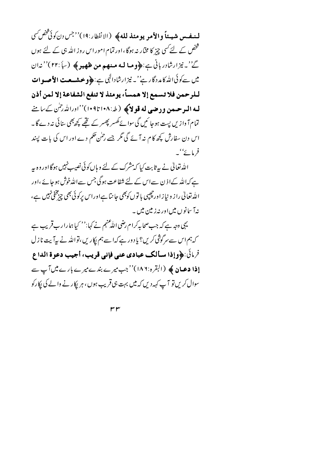لمنفس شيئاً والأمر يومئذ لله﴾ (الانظار:١٩)''جس دن كونَ ثَحْصَ سَ ہ<br>شخص کے لئے کسی چیز کا مختار نہ ہوگا ،اور تمام امور اس روز اللہ ہی کے لئے ہوں گے''۔نیزارشادربانی ہے:﴿وما له منهم من ظهير ﴾ (باً:٢٢)''ندان میں سےکوئی اللہ کا مدد گار ہے' نہ نیز ارشادالہٰی ہے : ﴿ و خیشہ مت الأصبوات للرحمن فلا تسمع إلا همساً، يومئذ لا تنفع الشفاعة إلا لمن أذن لمه الموحسن ودهيي له قولاكَ (ط:۱۰۸تا۱۰۹)''اورالله رحمٰن كے با منے تمام آ واز <sup>س</sup> پست ہوجا <sup>ئی</sup>ں گی سوائے گھسر پھسر کے تھے کچھ بھی بنائی نہ دے گا ۔ اس دن سفارش کچھ کام نہ آئے گی مگر جسے رحمٰن حکم دے اور اس کی بات پسند فرمائے' ۔

اللہ تعالیٰ نے بہ ثابت کیا کہ شرک کے لئے وہاں کوئی نصیب نہیں ہوگااور وہ بہر ہے کہاللہ کےا ذ ن سےاس کے لئے شفاعت ہوگی جس سےاللہ خوش ہو جائے ،اور الله تعالیٰ را ز و نیاز اور چیپی با توں کوبھی جا نتا ہےاوراس برکو ئی بھی چی<sup>ومخ</sup>فی نہیں ہے، نہ آ سانوں میں اور نہ زمین میں ۔

یہی وجہ ہے کہ جب صحابہ کرام رضی اللّٰہ عنہم نے کہا:'' کیا ہما را رب قریب ہے کہ ہم اس سے سرگوشی کریں؟ یا د ور ہے کہ اسے ہم پکاریں ،تو اللہ نے بیہآ بیت نا زل فرمائي:﴿وإذا يسألك عبادي عنى فإني قريب، أجيب دعوة الداع **إذا دعيان ﴾ (**البقره:١٨٦)''جب ميرے بندے ميرے بارے ميں آپ سے سوال کریں تو آپ کہہ دیں کہ میں بہت ہی قریب ہوں ، ہر ایکار نے والے کی ایکارکو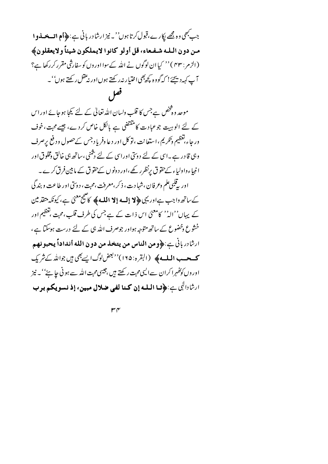جب مبھی وہ مجھے لکارے،قبول کرتا ہوں''۔ نیز ارشادر بانی ہے:﴿أم اقسے فسلوا مـن دون الله شـفـعاء، قل أولو كانوا لايملكون شيئاً ولايعقلون﴾ (الزمر : ۴۳) '' کہا ان لوگوں نے اللہ کےسوا اور وں کو سفارشی مقرر کررکھا ہے؟ آپ کہردیجئے! کہ گووہ کچھ بھی اختیار نہ رکھتے ہوں اور نہ عقل رکھتے ہوں''۔

موجد و دفخص ہے جس کا قلب ولسان اللہ تعالٰی کے لئے کیجا ہوجائے اوراس کے لئے الوہیت جوعبادت کامنقتضی ہے بالکل خاص کردے، جیسے محبت، خوف ور جاء،تغظیم وتکریم، استعانت ،توکل اور د عا وفریاد جس کےحصول و دفع پرصرف وہی قا در ہے۔اسی کے لئے دوسی اوراسی کے لئے رشنی ،ساتھ ہی خالق ومخلوق اور انبیاءواولیاء کےحقوق پرنظرر کھے،اور دونوں کےحقوق کے مابین فرق کرے۔ اور به قلبی علم وعرفان ،شهادت ، ذکر ،معرفت ،محت ، دوسّی اور طاعت و بند گی کے ساتھ واجب ہےاوریہی **﴿لا إِلَـهِ!لا الله﴾ کا**ھیج معنیٰ ہے، کیونکہ متفا<sub>س</sub>ین کے پہاں''الہ'' کامعنیٰ اس ذات کے ہے جس کی طرف قلب،محبت ،تغظیم اور خشوع وخضوع کے ساتھ متوجہ ہواور جوصرف اللہ ہی کے لئے درست ہوسکتا ہے ، ارِثَادِرِ بِانِّي جِ:﴿ومِنِ الناسِ مِن يتخِذِ مِن دونِ اللهِ أنداداً يحبونهم **ک یع الله کاپ** (البقرہ: ۱۶۵)'<sup>د بعض</sup> لوگ ایسے بھی ہیں جواللہ کے شریک اور وں کوَکھُہرا کران سےالیںمحبت رکھتے ہیں ،جیسی محبت اللہ سے ہو ٹی جا ہۓ''۔ نیز ارِثَادالِلِي بِ:﴿قا الْمَلْمُهُ إِنْ كَنَا لَفِي ضِلاَلِ مِبِينٍ، إِذْ نِسْوِيكُمْ بِرِبِ

 $\mathsf{r} \mathsf{r}$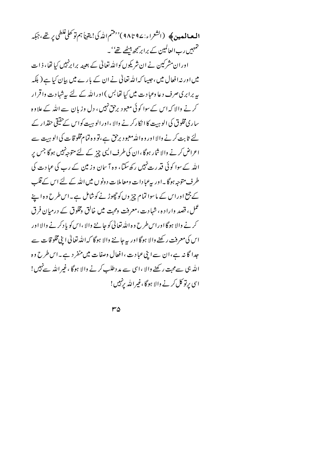حہمیں رب العالمین کے برابر ی<u>جھ</u> بیٹھے تھے' ۔

اوران مشرکین نے ان شریکوں کواللہ تعالیٰ کے بعینہ برا برنہیں کیا تھا، ذات میں اور نیہ افعال میں ،حبیبا کہ اللہ تعالیٰ نے ان کے بارے میں بیان کیا ہے ( بلکہ بیربرابری صرف دعا وعبا دت میں کیا تھا بس ) اور اللہ کے لئے پہ شہادت واقر ار کرنے والا کہ اس کے سوا کوئی معبود برحق نہیں، دل وزیان سے اللہ کے علاوہ ساری مخلوق کی الو ہت کا ا نکارکرنے والا ،اور الو ہت کواس کے حقیقی حقدار کے لئے ثابت کرنے والا اور وہ اللہ معبود برحق ہے،تو وہ تمام مخلو قات کی الو ہیت سے اعراض کرنے والا شار ہوگا ،ان کی طرف الیپی چیز کے لئے متوجہ نہیں ہوگا جس پر اللہ کے سوا کوئی قدرت نہیں رکھ سکتا، وہ آ سان وز مین کے رب کی عبادت کی طرف متوجہ ہوگا۔اور یہ عبادات ومعاملات د ونوں میں اللہ کے لئے اس کے قلب کے جمع اوراس کے ماسوا تمام چز وں کو چھوڑ نے کوشامل ہے۔اس طرح وہ اپنے عمل، قصد وارادہ، شہادت،معرفت ومحبت میں خالق ومخلوق کے درمیان فرق کرنے والا ہوگا اوراس طرح وہ اللہ تعالیٰ کو جاننے والا ،اس کو یا دکرنے والا اور اس کی معرفت رکھنے والا ہوگا اور یہ جاننے والا ہوگا کہ اللہ تعالیٰ ابنی مخلو قات سے جدا گا نہ ہے،ان سے اپنی عبادت ،افعال وصفات میں منفر دے۔اس طرح وہ الله بْمِي سےمحبت رکھنے والا ،اسی سے مد دطلب کرنے والا ہوگا ،غیر اللہ سے نہیں! اسی برتو کل کرنے والا ہوگا ،غیراللہ برنہیں!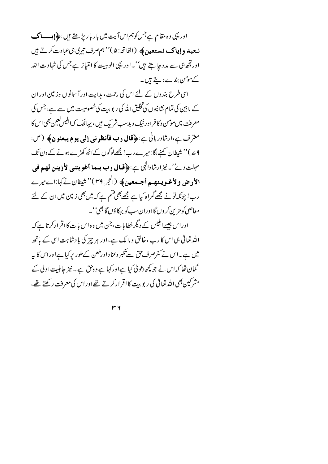اوریہی و ہ مقام ہےجس کوہم اس آیت میں بارپار پڑھتے ہیں : ﴿ إِيِّـــا ک نعبد وإياك نستعين﴾ (الفاتح:۵)''ہم صرف تیری ہیءبادت کرتے ہیں اور تھ ہی سے مد د جا ہتے ہیں''۔اور یہی الوہیت کا امتیاز ہےجس کی شہادت اللہ کےمومن بندے دیتے ہیں۔

اسی طرح بندوں کے لئے اس کی رحمت ، مدایت اور آ سانوں وزمین اور ان کے مابین کی تمام نشانیوں کی تخلیق اللہ کی رپوبیت کی خصوصیت میں سے ہے، جس کی معرفت میں مومن وکا فراور نیک و بدسب شریک ہیں ، یہاننک کہ ابلیس لعین بھی اس کا مترف ہے،ارشادر بانی ہے:﴿قال دب فأنظرني إلى يوم يبعثون﴾ (ص: 4 <sup>ے</sup> )'' شیطان کہنے لگا: میر ے رب! مجھےلوگوں کےاٹھ کھڑے ہونے کے دن تک مہلت دی''۔ نیز ارشادالٰہی ہے:﴿**قبال دب بیما أغو پ**ینبی **لأذینن لھہ فی** الأدض ولأغوينهم أجيمعين﴾ (الحجر:٣٩)''شيطان نےكها:اےميرے رے! چونکہ تونے مجھے گمراہ کیا ہے مجھے بھی فتم ہے کہ میں بھی زمین میں ان کے لئے معاصي کومز ن کروں گااوران سڀ کو بہکا ؤں گا بھي''۔

اوراس جیسےابلیس کے دیگر خطابات،جن میں وہ اس بات کااقر ارکرتا ہے کہ اللہ تعالیٰ ہی اس کا رب ، خالق و ما لک ہے،اور ہر چز کی بادشاہت اسی کے ہاتھ میں ہے۔اس نے کفرصرف حق سے تکبر وعناداورطعن کےطور پر کیا ہےاوراس کا پہ گمان تھا کہ اس نے جو کچھ دعویٰ کیا ہےاور کہا ہے وہ حق ہے ۔ نیز جاہلیت اولٰی کے مشرکین بھی اللہ تعالیٰ کی ریوبت کا اقر ارکرتے تھےاوراس کی معرفت رکھتے تھے،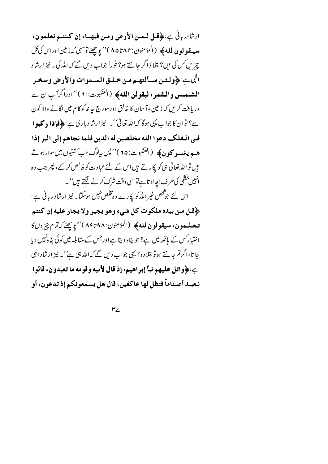ارِثَادِرِ بِانِي بِيَـ:﴿قُلْ لَيْمِينَ الأَرْضِ وَمِينَ فِيهِـاءٍ إِنْ كَتْتِيمَ تَعْلَمُونَ، مهه يقولون لله﴾ (المؤمنون:٨٥٣٨٣)'' يوچھئے توسہی کہ زمين اوراس کی کل چیزیں س کی میں؟ بتلا دَاگر جانتے ہو؟ فوراً جواب دیں گے کہ اللہ کی ۔ نیز ارشاد الى ج: ﴿ولَّـئن سـألتهـم مـن خـلـق السـموات والأرض وسخـر الشيمس والمقمر، ليقولن الله﴾ (العنكبوت: ٢١)''اوراگرآپان سے دریافت کریں کہ زمین وآ سان کا خالق اورسورج حا ندکو کام میں لگانے والا کون ہے؟ توان کا جواب یہی ہوگا کہاللہ تعالیٰ '۔ نیز ارشاد باری ہے:﴿فإِذا دِ كَبِوا في الـفلك دعوا الله مخلصين له الدين فلما نجاهم إلى البر إذا هه**م پيشسو كون ﴾ (ال<sup>ي</sup>نكبوت: ٦۵<sup>) در</sup>پس بېلوگ جب** *كشت***وں ميں سوار ہو تے** ہیں تو اللہ تعالیٰ ہی کو پکار تے ہیں اس کے لئے عبادت کو خالص کر کے، پھر جب وہ انہیں خشکی کی طرف بحالا تا ہےتواسی وقت شرک کرنے لگتے ہیں''۔ اس لئے جو څخص غیر اللہ کو پکارے وہ مخلص نہیں ہوسکتا۔ نیز ارشاد ریانی ہے: ﴿قُلْ من بيده ملكوت كل شيء وهو يجير ولا يجار عليه إن كنتم تبعليمون، سيقولون لله﴾ (المؤمنون:١٩٣٨٨)'' يوجِعَ كهُمَّام چيزوں كا اختیار *کس کے* باتھ میں ہے؟ جو پناہ دیتا ہےاور جس کے مقابلہ میں کوئی پناہ *نہیں دی*ا جا تا،اگرتم جا نتے ہوتو بتلا دو؟ یہی جواب دیں گے کہ اللہ ہی ہے''۔ نیز ارشاد الہٰی بِ :﴿واتل عليهم نبأ إبراهيم، إذ قال لأبيه وقومه ما تعبدون، قالوا نـعبـد أصـناماً فنظل لها عاكفين، قال هل يسمعونكم إذ تدعون، أو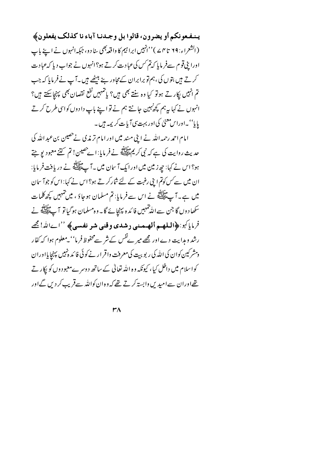يـنـفـعونكم أو يضرون، قالوا بل وجـدنـا آباء نا كذلك يفعلون﴾ (الشعراء: ٢٩ تا ٥٢ \_ `` 'نہيں ابرا تيم كا واقعہ بھى سا دو، جبكہ انہوں نے اپنے باپ اورا بِیْ قوم سےفر مایا کہ تم کس کی عبادت کرتے ہو؟ انہوں نے جواب دیا کہ عبادت کرتے ہیں بتوں کی،ہم تو برابران کےمجاور بنے بیٹھے ہیں۔آپ نےفرمایا کہ جب تم انہیں پکارتے ہوتو کیا وہ سنتے بھی ہیں؟ پاشہیں نفع نقصان بھی پہنچاسکتے ہیں؟ انہوں نے کہا بہ ہم کچھ پہین جانتے ہم نے تو اپنے باپ دادوں کواسی طرح کرتے پایا''۔اوراس معنیٰ کی اور بہت سی آبات کریمہ ہیں۔

امام احمد رحمہ اللہ نے اپنی مسند میں اور امام تر مذی نےحصین بن عبد اللہ کی حدیث روایت کی ہے کہ نبی کریمﷺ نے فر مایا: اے حصین! تم کتنے معبود پو جتے ہو؟ اس نے کہا: جوز مین میں اورایک آ سان میں ۔ آ پے ایک گھر نے دریافت فر مایا: ان میں سے کس کوتم اپنی رغبت کے لئے شارکرتے ہو؟ اس نے کہا: اس کو جوآ سان میں ہے۔آپﷺنے اس سے فرمایا: تم مسلمان ہوجاؤ ، میں تیہیں کچھ کلمات ۔<br>سکھا دوں گا جن سے اللہ جمہیں فائدہ پہنچائے گا۔ وہ مسلمان ہوگیا تو آ پﷺ نے فرماياً بو:﴿الملهيم ألهيمني دِشدي وقنبي شو نفسي﴾ ''اےاللہ! مجھ رشد و ہدایت دے اور مجھے میر نےفس کے شر سےمحفوظ فر ما'' یہ معلوم ہوا کہ کفار ومشرکین کوان کی الله کی ر بو بہت کی معرفت واقر ار نے کوئی فا کد ہنیں پہنچایااوران کواسلام میں داخل کیا، کیونکہ وہ اللہ تعالٰی کے ساتھ دوسرےمعبود وں کو پکار تے تھےاوران سےامید <sup>س</sup> وابستہ کرتے تھے کہ وہ ان کواللہ سےقریب کردیں گےاور

 $\mathsf{r}\wedge$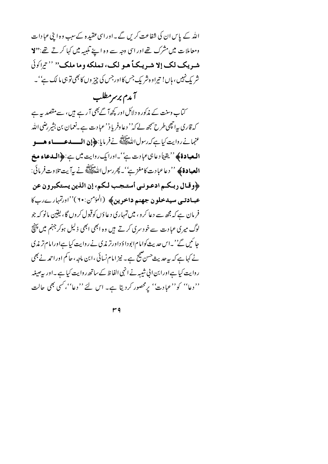اللہ کے پاس ان کی شفاعت کریں گے۔اوراسی عقیدہ کےسب وہ اپنی عبادات ومعاملات میں مشرک تھے اور اسی وجہ سے وہ اپنے تلبیہ میں کہا کرتے تھے:**''لا** شريك لك إلا شريكاً هو لك، تملكه وما ملك" "تراكولَ شر یک نہیں ، ہاں! تیراوہ شر یک جس کااورجس کی چیز وں کا بھی تو ہی ما لک ہے' ۔

آمدم برسرمطلب کتاب وسنت کے مذکور ہ دلائل اور کچھآ گے بھی آ رہے ہیں، سے مقصد ہیرہے کہ قاری ہےانچھی طرح سمجھ لے کہ'' دعا وفریاد'' عبادت ہے۔نعمان بن بشیر رضی اللہ عنهمانے روایت کیا ہے کہ رسول اللّٰہَ السَّلائِلِیَّةُ نے فرمایا: ﴿**إِن الـــــدعــــــاء هـــو الـعبادة﴾** '' يقيناً دعا<sup>ہ</sup>ی عبادت ہے''۔اورایک روایت میں ہے:﴿**الـدعاء مخ العبادة﴾** ''دعاعبادت كامغز ہے''۔ *پھر رس*ول اللّٰہﷺ نے بیرآ بیت تلاوت فر مائی: ﴿وقال ربكم ادعوني أستجب لكم، إن الذين يستكبرون عن عبادتمی سیدخلون جهنم داخرین، (المؤمن:۲۰)''اورتمهارےربکا فر مان ہے کہ مجھ سے دعا کرو ، میں تمہاری دعاؤں کوقبول کروں گا، یقین مانو کہ جو لوگ میری عبادت سے خود سری کرتے ہیں وہ ابھی ابھی ذلیل ہوکر جہنم میں پہنچ جا ئیں گے''۔اس حدیث کوامام ابودا وَداورتر مذی نے روایت کیا ہےاورامام تر مذی نے کہا ہے کہ بیرحدیث حسن صحیح ہے۔ نیز امام نسائی ،ابن ماجہ ، حاکم اوراحمہ نے بھی روایت کیا ہےاورابن الی شیبہ نے انہی الفاظ کےساتھ روایت کیا ہے ۔اور پیصیغہ ''دعا'' کو''عبادت'' پرمحصور کردیتا ہے۔ اس لئے ''دعا''، *کسی* بھی حالت

 $r q$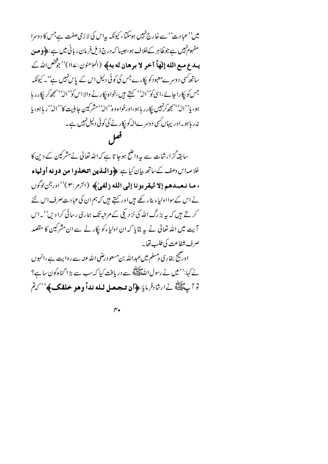میں''عبادت'' سے خارج نہیں ہوسکتا، کیونکہ بیہاس کی لا زمی صفت ہےجس کا دوسرا مفہوم نہیں ہے جوظا ہر کےخلاف ہو،حبیبا کہ درج ذیل فرمان ریانی میں ہے : ﴿ ومن يبدع مع الله إلهاً آخو لا برهان له به؟ (الْمَوْمِنُون: ١١٤)'' جَوَّضْ الله ك ساتھ کسی دوسرےمعبود کو پکارے جس کی کوئی دلیل اس کے پاس نہیں ہے''۔ کیونکہ جس کو پکارا جائے ،اسی کو''الہٰ'' کہتے ہیں،خواہ پکارنے والا اس کو''الہ''سمجھ کر پکارر ہا ہو، یا''الہٗ'سمجھ کرنہیں پکار ریاہو،اورخواہ وہ''الہٗ' مشرکین جاہلیت کا''الہٗ' ریاہو، یا نہ ر ہاہو۔اور یہاں کسی دوسرےاللہ کو بکار نے کی کوئی دلیل نہیں ہے۔ فعل

سابقہ گزارشات سے بیرواضح ہوجا تا ہے کہ اللہ تعالٰی نے مشرکین کے دین کا .<br>خلاصهاس وصف کے ساتھ بیان کیا ہے: ﴿ و**اللَّذِينِ اتَّخِذُوا مَن دونه أولياء** ، ما نعبدهم إلا ليقربونا إلى الله زلفيٰ﴾ (الزمر:٣)''اورجن لوكول نے اس کےسوااولیاء بنار کھے ہیں اور کہتے ہیں کہ ہم ان کی عبادت صرف اس لئے کرتے ہیں کہ یہ بزرگ اللہ کی نز دیکی کے مرتبہ تک ہماری رسائی کرا دیں''۔اس آیت میں اللہ تعالیٰ نے یہ بتایا کہ ان اولیاءکو پکار نے سے ان مشرکین کا مقصد صرف شفاعت كي طلب تفايه

اورضج بخاری دمسلم میںعبداللہ بن مسعود رضی اللہ عنہ سے روایت ہے ،انہوں نے کہا:''میں نے رسول اللہﷺ سے دریافت کیا کہ سب سے بڑا گناہ کون سا ہے؟ تو آپ عَلَيْتَهُ نے ارشادفرمایا:﴿**أَن تسجيعيل ليله نداً وهو خلقڪ﴾**'' كيتم

 $\mathbf{r}$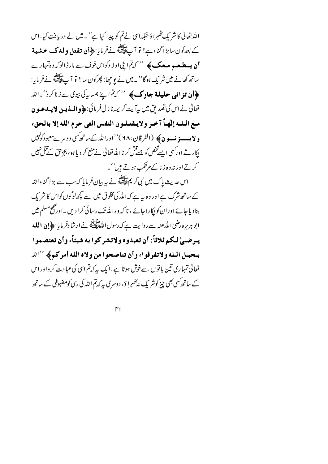اللہ تعالٰی کا شریک مُٹھہرا وَ جبکہ اسی نے تم کو پیدا کیا ہے' یہ میں نے دریافت کیا : اس كے بعدكون سابڑا گناہ ہے؟ تو آ پے اپنے نے فرمایا:﴿**أَن تقتل ولدك حشية أن یہ طبعہ معک ک**ے پھی '' کہتما ینی اولا دکواس خوف سے مارڈ الوکہ وہ تہمارے ساتھ کھانے میں شریک ہوگا''۔ میں نے یو چھا: پھرکون سا؟ تو آ پے ﷺ نے فرمایا: ﴿**أَن تزاني حليلة جادِك﴾** '' كيمّ اپنے ہمسايہ کی بيوی سےزنا کرو' -الله تعالى نے اس كى تصديق ميں بہ<sub>ا</sub>ً بيت كريمہ نازل فرمائى:﴿وا**لبذيين لا يبدعو ن** مع البله إليهاً آخر ولا يقتبلون النفس التي حرم الله إلا بالحق، **و لایسسے نسو ن ﴾** (الفرقان : ٩٨)''اوراللہ کے ساتھ کسی دوسرےمعبود کونہیں بکار تے اور کسی ایسے څخص کو جسےقل کر نااللہ تعالیٰ نے منع کر دیا ہو، بجزحق کےقل نہیں کرتے اور نہ وہ زنا کے مرتکب ہوتے ہیں''۔

اس حدیث پاک میں نبی کریمﷺ نے یہ بیان فرمایا کہ سب سے بڑا گناہ اللہ کے ساتھ شرک ہےاور وہ یہ ہے کہ اللہ کی مخلوق میں سے کچھ لوگوں کواس کا شریک بنادیا جائے اوران کو پکارا جائے ، تا کہ وہ اللّٰہ تک رسائی کرا دیں۔اور صحیح مسلم میں ابو ہریرہ رضی اللہ *عنہ سے ر*وایت ہے کہ رسول اللہﷺ نے ارشادفر مایا:﴿**إِنِ اللَّه** يرضي لكم ثلاثاً: أن تعبدوه ولاتشركوا به شيئاً، وأن تعتصموا بتحبيل الثله ولاتفرقوا، وأن تناصحوا من ولاه الله أمركم﴾ ''الله تعالیٰ تمہاری تین با توں سےخوش ہوتا ہے: ایک ہہ کہتم اسی کی عبادت کر واوراس کے ساتھ کسی بھی چیز کوشر یک نہ پھُہرا ؤ ، د وسری پیرکہ تم اللّٰہ کی رسی کومضبوطی کے ساتھ

 $\gamma$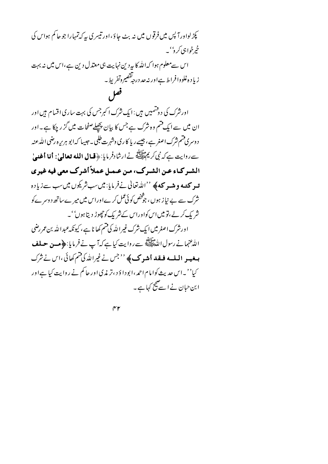پکڑ لواورآ پس میں فرقوں میں نہ بٹ جاؤ، اور تیسری پہ کہ تمہارا جو جا کم ہواس کی خمرخواہی کرو''۔ اس سےمعلوم ہوا کہ اللہ کا بیرد ین نہایت ہی معتدل دین ہے،اس میں نہ بہت زيا د ه غلووافراط ہےاور نہ حد درجہ تقصیروتفریط۔ فعل اورشرک کی دوشمیں ہیں : ایک شرک اکبرجس کی بہت ساری اقسام ہیں اور ان میں سے ایک فتم وہ شرک ہے جس کا بیان پچھلےصفحات میں گز ربچکا ہے۔اور د وسری قسم شرک اصغر ہے ، جیسے ریا کا ری وشہرت طلبی ۔ جیسا کہ ابو ہریر ہ رضی اللہ عنہ <sub>سے</sub>روایت ہے کہ نبی کریم علاقة نے ارشادفر مایا:﴿**قبالِ الله تعالمیٰ: أنا أغنى**ٰ الشير كياء عين الشيرك، مين عيميل عملاً أشرك معي فيه غيري تسو **کتبه و شیر که ﴾** ''الله تعالیٰ نےفرمایا: میں سب شریکوں میں سب سے زیادہ نثرک سے بے نیاز ہوں، جو شخص کوئی عمل کرےاوراس میں میرےساتھ دوسرے کو شر یک کر لے،تو میں اس کواوراس کے شریک کوچھوڑ دیتا ہوں''۔ اورشرک اصغرمیں ایک شرک غیراللہ کی قسم کھا نا ہے ، کیونکہ عبداللہ بن عمر رضی الله عنهمانے رسول اللہ اسلام ہے۔<br>اللہ عنہمانے رسول اللہ ﷺ سے روایت کیا ہے کہ آپ نے فر مایا: ﴿ **مِسنِ حسلف** بہغیو الملبہ فیقد اُشوک ک $\llcorner$ ''جس نے غیراللّٰہ کی قسم کھائی ،اس نے شرک کیا''۔اس حدیث کوامام احمہ ،ابودا ؤ د ،تر مذی اور حا کم نے روایت کیا ہےاور ابن حیان نے اسے صحیح کہا ہے ۔

 $\gamma$ r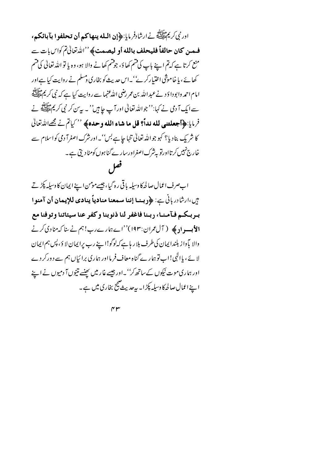اور نبي كريم الله في السلام السلام السلام العامل عن العام العام المسلم المسلم المسلم المسلم المسلم ا فمن كان حالفاً فليحلف بالله أو ليصمت؟ ''الدُّرْقالُيِّمَ كِلَّاسِ!ت سے منع کرتا ہے کہ تم اپنے باپ کی قسم کھاؤ، جوقسم کھانے والا ہو، وہ یا تو اللہ تعالیٰ کی قسم کھائے، یا خاموثنی اختیارکر ۓ''۔اس حدیث کو بخاری دسلم نے روایت کیا ہےاور امام احمد وابودا دَ د نے عبد اللہ بن عمر رضی اللہ عنہما سے روایت کیا ہے کہ نبی کر یم علائقہ سے ایک آ دی نے کہا:''جواللہ تعالیٰ اور آپ جا ہیں''۔ پیریں کر نبی کریم عالِقہ نے فرمايا:﴿أجعلتنبي لله نداً؟ قل ما شاء الله و حده﴾ '' كياتم نے مجھےالله تعالىٰ کا شر یک بنادیا؟ کہو جواللہ تعالیٰ تنہا جا ہے بس''۔اورشرک اصغرآ دمی کواسلام سے خارج نہیں کرتااورتو بہ شرک اصغراورسار ے گناہوں کومٹادیتی ہے۔ فعل

اب صرف اعمال صالحہ کا وسیلہ باقی رہ گیا، جیسے مومن اپنے ایمان کا وسیلہ پکڑتے سٍ،ارشادرباني بِ: ﴿وَبِينا إننا سمعنا منادياً ينادي للإيمان أن آمنوا بربكم فآمنا، ربنا فاغفر لنا ذنوبنا وكفر عنا سيئاتنا وتوفنا مع **الأبسواد ﴾** ( آل عمران:۱۹۳)''اے ہمارےرب! ہم نے بنا کہ منادی کرنے والا باً واز بلندا پمان کی طرف بلا ریا ہے کہ لوگو!ا پنے رب پراپمان لا ؤ، پس ہم ایمان لا ئے ، یا الٰہی!اب تو ہمارے گناہ معاف فر مااور ہماری برائیاں ہم سے دورکردے اور ہماری موت نیکوں کے ساتھ کر''۔اور جیسے غار میں پھنسے نتیوں آ دمیوں نے اپنے اپنے اعمال صالحہ کا وسیلہ پکڑ ا۔ بیرحدیث صحیح بخاری میں ہے۔

 $\gamma$ r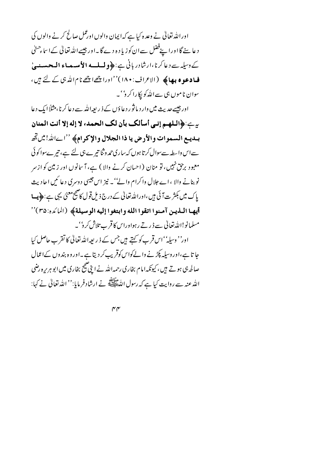اوراللہ تعالٰی نے وعدہ کیا ہے کہ ایمان والوں اورعمل صالح کرنے والوں کی د عا سنے گا اورا پنےفضل سےان کو زیا د ہ دے گا ۔اور جیسےاللہ تعالیٰ کےا ساءحنیٰ کے وسیلہ سے دعا کرنا،ارشادر بانی ہے:﴿ولسلسه الأميسمياء المحسسنييٰ فیا**دعوہ ہیا ک**چھ (الاعراف: ۱۸۰)''اورا پ<u>تھ</u> اچھے نام اللہ ہی کے لئے ہیں ، سوان ناموں ہی سےاللّٰہ کو ایکارا کر و' ۔

اور جیسے جدیث میں وار دیا ثو ر دعا ؤں کے ذیر بعیراللہ سے دعا کرنا،مثلاً ایک دعا ~>:﴿اللهم إني أسألك بأن لك الحمد، لا إله إلا أنت المنان ببدييع السموات والأرض يا ذا الجلال والإكرام؟ ''اےالله! يس تِج سےاس واسطہ سےسوال کرتا ہوں کہ ساری حمد وثنا تیرے ہی لئے ہے، تیرےسوا کوئی معبود برحق نہیں، تو منان (احسان کرنے والا ) ہے، آ سانوں اور زمین کو ازسر نو بنانے والا ،اے جلال واکرام والے''۔ نیز اس جیسی دوسری دعائمیں احادیث یاک میں بکثر ت آئی ہیں،اوراللہ تعالیٰ کے درج ذیل قول کا صحیح معنیٰ یہی ہے : ﴿ بِسا أيُها البذين آمنوا اتقوا الله وابتغوا إليه الوسيلة﴾ (المائده:٣٥)'' مسلمانو!الله تعالى سے ڈرتے رہواوراس کا قرب تلاش کرو'۔

اور'' وسیلہ'' اس قر ب کو کہتے ہیں جس کے ذیر بعیہ اللہ تعالیٰ کا تقر ب حاصل کیا جا تا ہے،اور وسیلہ پکڑ نے والےکواس کوقریب کر دیتا ہے۔اور وہ بندوں کےاعمال صالحہ ہی ہوتے ہیں، کیونکہ امام بخاری رحمہ اللّٰہ نے اپنی ضج بخاری میں ابو ہر پر ہ رضی الله عنه سے روایت کیا ہے کہ رسول اللہﷺ نے ارشادفر مایا:'' اللہ تعالیٰ نے کہا:

 $\gamma \gamma$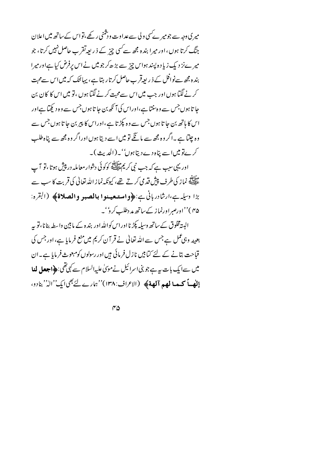میر ی دجہ سے جومیر کے سی ولی سے عداوت ورشنی رکھے،تواس کے ساتھ میں اعلان جنگ کرتا ہوں ، اور میرا بندہ مجھ سے کسی چز کے ذ ریعہ تقر ب حاصل نہیں کرتا، جو میر ےنز دیک زیا دہ پسند ہواس چیز سے بڑھ کر جو میں نے اس پرفرض کیا ہےاور میرا بندہ مجھ سےنوافل کے ذیر بعیرقرب حاصل کرتار ہتا ہے، یہائنک کہ میں اس سےمحبت کرنے لگتا ہوں اور جب میں اس سےمحبت کرنے لگتا ہوں ،تو میں اس کا کان بن جا تا ہوں جس سے و ہنتتا ہے،اوراس کی آ نکھ بن جا تا ہوں جس سے وہ دیکھتا ہےاور اس کا ہاتھ بن جا تا ہوں جس سے وہ پکڑ تا ہے ،اوراس کا پیر بن جا تا ہوں جس سے وہ چلتا ہے ۔اگر وہ مجھ سے مانگے تو میں اسے دیتا ہوں اوراگر وہ مجھ سے پناہ طلب کر پےتو میںا سے پناہ دے دیتا ہوں''۔(الحدیث)۔

اور یہی سب ہے کہ جب نبی کر یم عقلاتی کوکوئی دشوار معاملہ در پیش ہوتا ،تو آ ب ۔<br>علیہ میں زکی طرف پیش قد می کرتے تھے، کیونکہ نماز اللہ تعالٰی کی قربت کا سب سے بڑا وسلہ ہے،ارشادر بانی ہے:﴿واستعصنوا بالصبو والصلاۃ﴾ (البقرہ: ۴۵)''اورصبراورنماز کے ساتھ مد دطلب کر و''۔

البیتہ مخلوق کےساتھ وسیلہ پکڑ نااوراس کواللہ اور بندہ کے مابین واسطہ بنانا،تو بیہ بعینہ وہی عمل ہے جس سے اللہ تعالیٰ نے قر آن کریم میں منع فرمایا ہے، اور جس کی قباحت بتانے کے لئے کتابیں نازل فرمائی ہیں اور رسولوں کومبعوث فرمایا ہے۔ان میں سےایک بات ہہ ہے جو بنی اسرائیل نے موّیٰ علیہ السلام سے کہی تھی: ﴿**اجعل لَنا الله) كـهـالهم آلهة﴾ (**الاعراف:١٣٨)''ہمارے لئے بھى ايك''الہٰ'' بنادو،

 $\mathsf{r}\Delta$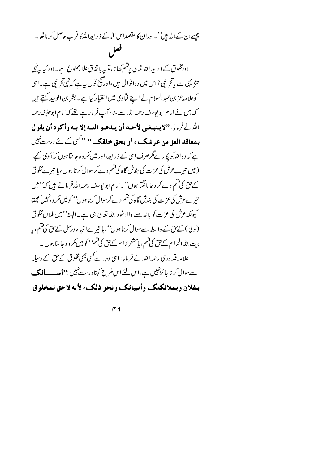## جیسےان کےاللہ ہیں''۔اوران کامقصداس اللہ کے ذیر بعیراللّٰہ کا قر ب حاصل کرنا تھا۔ قصل

اورمخلوق کے ذیر بعداللہ تعالیٰ یرفتم کھا نا،تو پہ با تفاق علاءممنوع ہے۔اور کیا بی<sup>ن</sup>ی تنز یہی ہے پاتح یمی؟اس میں دواقوال ہیں ،اوضج قول بہ ہے کہ نہی تحریمی ہے۔اسی کوعلا مہ عز بن عبدالسلام نے اپنے فیآوی میں اختیار کیا ہے۔ بشر بن الولید کہتے ہیں کہ میں نے امام ابو پوسف رحمہ اللہ سے بنا ،آپ فر مارہے تھے کہ امام ابوحنیفہ رحمہ الله نفريايا: "لايسبغيي لأحيد أن يبدعبو اللبه إلا ببه وأكره أن يقول بیعاقد الع; من عرشک ، او بحق حلقک '' <sup>''کس</sup> کے لئے درست<sup>نہیں</sup> ہے کہ وہ اللّٰہ کو ایکار ےگرصرف اسی کے ذیر بعیہ،اور میں مکر وہ جا نتا ہوں کہآ دمی کہے : ( میں تیر ےعرش کی عزت کی بندش گاہ کی قسم دے کرسوال کرتا ہوں ، یا تیر بےمخلوق کے بق کی قسم دے کر د عا مانگیا ہوں'' یہ امام ابو پوسف رحمہ اللہ فر ماتے ہیں کہ'' میں تیر ےعرش کی عزت کی بندش گا ہ کی قسم دے کرسوال کرتا ہوں'' کو میں مکر وہ نہیں سمجھتا کیونکہ عرش کی عزت کو با ندھنے والا خود اللہ تعالٰی ہی ہے۔ البتہ'' میں فلاںمخلوق (ولی) کے پیؒ کے واسطہ سے سوال کرتا ہوں''، یا تیرےانبیاءورسل کے پیؒ کی قسم، یا بیت اللہ الحرام کےحق کی قسم، پامشحرحرام کےحق کی قسم'' کو میں مکر وہ جا نتا ہوں ۔ علامہ قد وری رحمہ اللہ نے فر مایا: اسی وجہ سے کسی بھی مخلوق کے حق کے وسیلہ سے سوال کرنا جا ئزنہیں ہے،اس لئے اس طرح کہنا درست نہیں : "اســـــالمک بيفلان وبملائكتك وأنبيائك ونحو ذلك، لأنه لاحق لمخلوق

 $\gamma$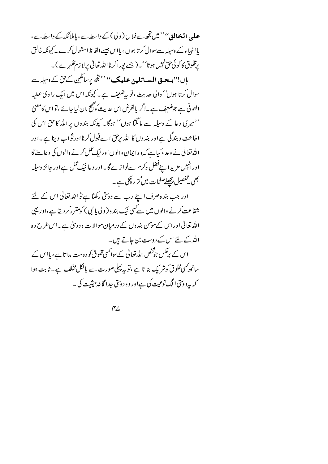علمی **المخالق''' می**ں تجھ سےفلاں ( و لی ) کے داسطہ سے، ماملا ئکہ کے داسطہ سے، یاا نیماء کے وسیلہ سےسوال کرتا ہوں ، پااس جیسےالفاظ استعال کرے۔ کیونکہ خالق رمخلوق کا کوئی حق نہیں ہوتا''۔(جسے یورا کرنااللہ تعالٰی پرلا زم کھُہرے )۔ ہاں!''**ہے۔ق المسائلین علیک''** ''تجھ پرسائلین کے پش کے وسیلہ سے سوال کرتا ہوں'' والی حدیث ،'تو پہ ضعیف ہے۔ کیونکہ اس میں ایک راوی عطیہ العوفي ہے جوضعیف ہے۔اگر بالفرض اس حدیث کو صحیح مان لبا جائے ،'تو اس کامعنیٰ ''میری دعا کے وسیلہ سے مانگما ہوں'' ہوگا۔ کیونکہ بندوں پراللہ کا حق اس کی اطاعت و بندگی ہےاور بندوں کااللہ برحق اسے قبول کرنااورثواب دینا ہے۔اور الله تعالیٰ نے وعد ہ کیا ہے کہ وہ ایمان والوں اور نیک عمل کرنے والوں کی دعا سنے گا اورانہیں مزیدا ہےنفل وکرم سےنواز ے گا۔اور دعا نیک عمل ہےاور جائز وسیلہ بھی تفصیل پچھلےصفحات میں گز رچکی ہے۔

اور جب بندہ صرف اپنے رب سے دوئتی رکھتا ہے تو اللہ تعالیٰ اس کے لئے شفاعت کرنے والوں میں سے سی نیک بند ہ ( و لی یا نبی ) کومقرر کر دیتا ہے،اور یہی اللہ تعالیٰ اوراس کےمومن بندوں کے درمیان موالا ت و دوسی ہے۔اس طرح وہ اللہ کے لئے اس کے دوست بن جاتے ہیں۔ اس کے برعکس جو شخص اللہ تعالیٰ کےسواکسی مخلوق کو د وست بنا تا ہے ، با اس کے ساتھ سی مخلوق کوشر یک بنا تا ہے ،تو بہ پہلی صورت سے بالکل مخلف ہے۔ ثابت ہوا که به دوئتی الگ نوعیت کی ہےاور وہ دوئتی جدا گا نہ حیثیت کی ۔

 $\gamma_{\angle}$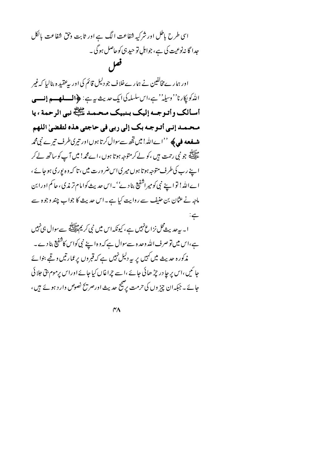اسی طرح باطل اور شرکیه شفاعت الگ ہے اور ثابت وحق شفاعت بالکل جدا گا نہ نوعیت کی ہے، جواہل تو حید ہی کوحاصل ہوگی ۔ فعل

اور ہما رے مخالفین نے ہما رے خلا ف جو دلیل قائم کی اور پہ عقید ہ بنالیا کہ غیر الله كو يكارنا'' وسيله'' ہے،اس سلسلہ كى ايك حديث بہ ہے: ﴿الْمِسْلِمِيْسِمْ إِنسْسِي أسألك وأتوجه إليك بنبيك محمد ظلِّ بي الرحمة ، يا محمد إني أتوجه بك إلى ربي في حاجتي هذه لتقضيٰ اللهم **شفعه في ﴾ ''ا**ےاللہ! ميں تجھ سے سوال کر تا ہوں اور تیری طرف تیر بے نبی محمہ ۔<br>علاق پر جو نبی رحمت ہیں ،کو لے کرمتوجہ ہوتا ہوں ،اے محمہ! میں آ پ کو ساتھ لے کر ا ہے رب کی طرف متوجہ ہوتا ہوں میر کی اس ضرورت میں ، تا کہ وہ یور کی ہوجائے ، اےاللہ! تواسیۓ نبی کومیراشفیع بناد ۓ''۔اس حدیث کوامام تر مذی، حاکم اورابن ماجہ نے عثان بن حنیف سے روایت کیا ہے۔اس حدیث کا جواب چند وجوہ سے  $\frac{1}{\sqrt{2}}$ ا۔ بیرحد بیٹ محل نزاع نہیں ہے ، کیونکہ اس میں نبی کر یم اللہ سے سوال ہی نہیں

ہے،اس میں تو صرف اللہ وحدہ سے سوال ہے کہ وہ اپنے نبی کواس کاشفیع بنا دے۔ مذکورہ حدیث میں کہیں پر یہ دلیل نہیں ہے کہ قبروں پر عمارتیں وقبے بنوائے جا ئیں ،اس پر جا در چڑ ھائی جائے ،اسے چراغاں کیا جائے اوراس پرموم بتی جلا ئی جائے ۔ جبکہ ان چیز وں کی حرمت پر صحیح حدیث اورصر پیج نصوص وار د ہوئے ہیں ،

 $\gamma$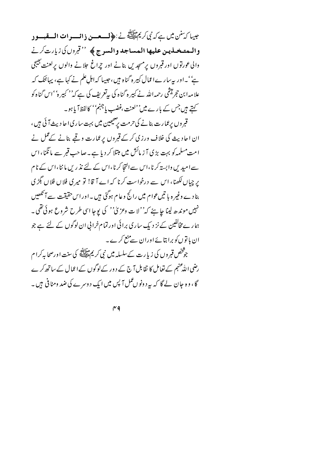عِيبا كَيْتَنْ مِين ہےكہ نِي كَرِيمَ اللَّهِ فِي ذَهِيلَ فِي السَّعْرِ السَّعْرِ اتَّ السَّقْبِسُور والممتخلين عليها المساجد والسرج ﴾ '' تبرول كي زيارت كرنے والی عورتوں اور قبروں پر مسجد یں بنانے اور چراغ حلانے والوں پر لعنت بھیجی ہے''۔اور بیرسارےاعمال کبیر ہ گناہ ہیں،حبیبا کہ اہل علم نے کہا ہے، پہائنک کہ علامہ ابن حجر میٹمی رحمہ اللہ نے کبیر ہ گناہ کی بی<sup>تع</sup>ریف کی ہے کہ'' کبیر ہ'' اس گناہ کو کہتے ہیں جس کے بارے میں''لعنت ،غضب یاجہنم'' کالفظا ٓ یا ہو۔ قبر وں پرعمارت بنانے کی حرمت پر صحیحین میں بہت ساری اچادیث آئی ہیں ، ان احادیث کی خلاف ورزی کرکے قبروں پرعمارت وقبے بنانے کے عمل نے امت مسلمہ کو بہت بڑی آ ز مائش میں مبتلا کر دیا ہے۔صاحب قبر سے مانگنا، اس سے امیدیں وابستہ کرنا،اس سے التجا کرنا،اس کے لئے نذ ریں ماننا،اس کے نام یر چہاں لکھنا، اس سے درخواست کرنا کہ اے آ قا! تو میری فلاں فلاں بگڑ ی بنادے وغیرہ با تیںعوام میں رائج وعام ہوگئی ہیں۔اوراس حقیقت سے آئکھیں نہیں موندھ لینا جا ہئے کہ''لا ت وعز پیٰ'' کی یوجا اسی طرح شروع ہوئی تھی۔ ہمارے مخالفین کے نز دیک ساری برائی اور تمام خرا پی ان لوگوں کے لئے ہے جو ان با توں کو برا بتائےاوران سے منع کرے۔ جوثخص قبر وں کی زیا رت کے سلسلہ میں نبی کر یم ایک کچھ کی سنت اورصحابہ کرا م رضی اللّٰہ عنہم کے تعامل کا نقابل آج کے دور کےلوگوں کےاعمال کے ساتھ کرے گا، وہ جان لے گا کہ یہ د ونوں عمل آ پس میں ایک د وسرے کی ضد ومنا فی ہیں ۔

 $r<sub>q</sub>$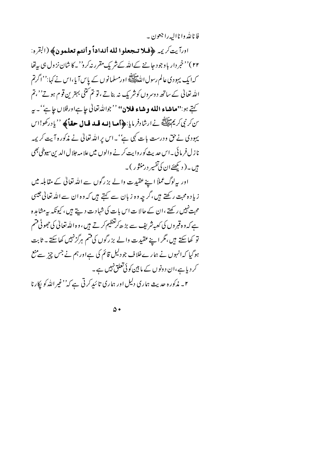فا ناپلٌد وا ناالبه را جعون په

اورآيت كريمه ﴿فَلا تِجْعَلُوا لَلَّهُ أَنْدَاداً وأنتم تعلَّمُونَ﴾ (القره: ۲۲)''خبر دار باوجود جاننے کےاللہ کے نثر یک مقرر نہ کرو''۔کا شان نز ول ہی بہ تھا کہ ایک یہودی عالم رسول اللّٰہِ اسلّٰہ اللّٰہِ علی اللّٰہ اللّٰہ کے پاس آیا،اس نے کہا:''اگرتم اللہ تعالیٰ کے ساتھ د وسروں کوشر یک نہ بناتے ،تو تم کتنی بہترین قوم ہو تے''،تم کتے ہو:"**ماشاء الله وشاء فلان**" ''جواللّٰہ تعالٰی عا<sup>ے</sup> اورفلاں عائے'۔ یہ سَ كَرنِي كَرِيمَ السَّلَامِيَّةِ نَے ارشادفر مايا:﴿**أما إنه قبد قبال حقاً﴾** ''يادركھو!اس یہودی نے حق ودرست بات کہی ہے' ۔اس پراللہ تعالٰی نے مذکورہ آیت کر یمہ نا ز ل فر مائی ۔اس جدید یک کوروایت کر نے والوں میں علا مہ جلال الدین سیوطی بھی ہیں۔( د تکھئےان کی تفسیر درمنثور )۔

اور بہ لوگ عملاً اپنے عقیدت والے بز رگوں سے اللہ تعالٰی کے مقابلہ میں زیا د ہ محت رکھتے ہیں،گر چہ وہ زبان سے کہتے ہیں کہ وہ ان سے اللہ تعالیٰ جیسی محبت نہیں رکھتے ،ان کے حالا ت اس بات کی شہادت دیتے ہیں ، کیونکہ بہ مشاہدہ ہے کہ و ہ قبر وں کی کعبہ شریف سے بڑ ھ کرتغظیم کر تے ہیں ، و ہ اللہ تعالیٰ کی حجھو ٹی فتیم تو کھا سکتے ہیں،مگر اپنے عقیدت والے بز رگوں کی قتم ہرگزنہیں کھا سکتے۔ ثابت ہوگیا کہ انہوں نے ہمارےخلاف جو دلیل قائم کی ہے اور ہم نے جس چیز سے منع کر دیا ہے،ان د ونو ں کے ما بین کو ئی تعلق نہیں ہے ۔ ۲۔ مذکورہ حدیث ہماری دلیل اور ہماری تائبدِ کرتی ہے کہ'' غیر اللّٰہ کو ایکارنا

 $\Delta \bullet$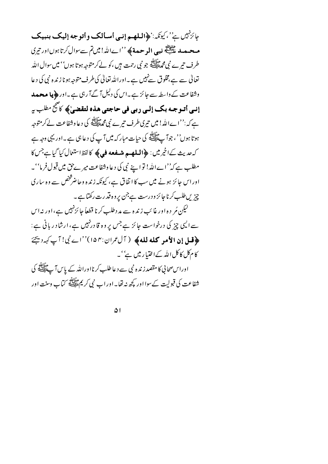عِائِزْتَهِيْسِ يُهْ'، كِيوْنَدِ:'﴿الْمَلْصُمْ إِنِّسِي أَمْسَأَلَمَكَ وِأَتَوْجِهِ إِلَيْكَ بِنْبِيك معصد الطالق.<br>معصد عَلَيْتَ نبي الموحمة ﴾ ''اےاللہ! میں تم سے سوال کرتا ہوں اور تیری طرف تیرے نبی محم<sup>طاللہ</sup> ہو نبی رحمت ہیں ،کو لے کرمتوجہ ہوتا ہوں'' میں سوال اللہ تعالیٰ سے ہے،مخلوق سےنہیں ہے۔اوراللہ تعالیٰ کی طرف متوجہ ہونا زندہ نبی کی دعا وشفاعت کے واسطہ سے جائز ہے۔اس کی دلیل آ گےآ رہی ہے۔اور **﴿پا محصد** إنسي أتـوجـه بك إلـي ربي في حاجتي هذه لتقضيٰ﴾ كاصحح مطلب به ہے کہ:''اےاللہ! میں تیری طرف تیرے نبی محمد اللہ کی دعا وشفاعت لے کرمتوجہ ہوتا ہوں''، جوآ پے اپنے کی حیات مبار کہ میں آ پ کی دعا ہی ہے۔اور یہی وجہ ہے كەجدىث كەنخمرمىن : ﴿**السلام شىفعە فى ﴾** كالفظ استعمال كيا گيا ہے جس كا مطلب ہے کہ''اےاللہ! تو اپنے نبی کی دعا وشفاعت میر حصؓ میں قبول فر ما''۔ اوراس جائز ہونے میں سب کا اتفاق ہے، کیونکہ زندہ وحاضرشخص سے وہ ساری چیزیںطلب کرناجائز ودرست ہےجن پروہ قدرت رکھتاہے۔ لیکن مُر د ہ اور غا ئب زند ہ سے مد دطلب کرنا قطعاً جا ئزنہیں ہے،اور نہ اس سے ایپی چیز کی درخواست جائز ہے جس پر وہ قادرنہیں ہے، ارشاد ریانی ہے: ﴿قل إِن الأمو كله لله﴾ ( آل عمران:١٥٣)''اے نبي! آپ کہ دیجئے کا مکل کاکل اللہ کےاختیار میں ہے''۔ اوراس صحابی کا مقصد زندہ نبی سے دعا طلب کرنااوراللہ کے پاس آ ﷺ کی شفاعت کی قبولیت کےسوا اور کچھ نہ تھا۔اوراب نمی کریم ماللہ سے کہا ۔وسنت اور

 $\Delta$  |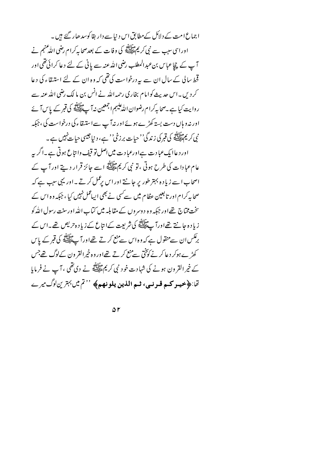اجماع امت کے دلائل کےمطابق اس دیبا سے دار بقا کوسد ھار گئے ہیں۔ اوراسی سبب سے نبی کر یمﷺ کی وفات کے بعدصحا بہ کرام رضی اللّٰهِ عنهم نے آپ کے چچاعباس بنء بدالمطلب رضی اللہ عنہ سے پانی کے لئے دعا کرائی تھی اور قحط سالی کے سال ان سے بپردرخواست کی تھی کہ وہ ان کے لئے استیقاء کی دعا کرد پں۔اس جدیث کوامام بخاری رحمہ اللہ نے انس بن ما لک رضی اللہ عنہ سے روایت کیا ہے ۔صحابہ کرام رضوان اللّٰہ علیہم اجمعین نہ آ پے ایک کی قبر کے پاس آ ئے اور نہ وہاں دست بستہ کھڑے ہوئے اور نہ آ ب سےاستیقاء کی درخواست کی ، جبکہ نې کريم الله کې قبر کې زندگې' <sup>د</sup> حيات برزخې'' ہے، د نيا جيسي حيات *نہيں ہے ۔* اور دعاایک عبا دت ہےاورعبا دت میں اصل تو قیف وانتاع ہوتی ہے۔اگر یہ عام عبادات کی طرح ہوتی ، تو نبی کریمﷺ اسے جائز قرار دیتے اور آپ کے اصحاب اسے زیادہ بہتر طور پر جانتے اور اس پرعمل کرتے ۔اور یہی سب ہے کہ صحابہ کرام اور تا بعین عظام میں سے *کس*ی نے بھی ایپانمل نہیں کیا ، جبکہ وہ اس کے ۔<br>سخت مختاج تھے اور جبکہ وہ دوسروں کے مقابلہ میں کتاب اللہ اورسنت رسول اللہ *ک*و زیادہ جانتے تھےاورآ پے پہلائے کی شریعت کےا تاع کےزیاد ہ *7 یص تھے۔*اس کے برنگس ان سے منقول ہے کہ وہ اس سے منع کرتے تھےاور آ پﷺ کی قبر کے پاس کھڑے ہوکر د عا کرنے کوًتخی سے منع کرتے تھےاور وہ خپرالقر ون کےلوگ تھے جس کے خیر القرون ہونے کی شہادت خود نبی کریمﷺ نے دی تھی ، آپ نے فرمایا تما:﴿ حَيهو كبه قبونسي، ثبه الذين يلونهم﴾ ''تم ميں بہترين لوگ ميرے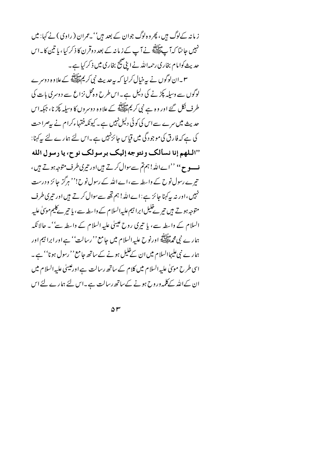ز مانہ کےلوگ ہیں، پھر وہ لوگ جوان کے بعد ہیں'' بحمران ( راوی ) نے کہا: میں نہیں جا نتا کہ آپ پیلائے نے آپ کے زمانہ کے بعد دوقرن کا ذکر کیا ، یا نتین کا ۔اس حدیث کوا مام بخاری رحمہ اللہ نے اپنی ضج بخاری میں ذکر کیا ہے۔ ۳۔ان لوگوں نے پہ خیال کرلیا کہ بہ حدیث نبی کریم علاقہ کے علاوہ دوسرے لوگوں سے وسیلہ پکڑنے کی دلیل ہے۔اس طرح وہ محل نزاع سے دوسری بات کی طرف نکل گئے اور وہ ہے نبی کریمﷺ کے علاوہ دوسروں کا وسیلہ پکڑیا، جبکہ اس حدیث میں سرے سےاس کی کوئی دلیل نہیں ہے ۔ کیونکہ فقہاءکرام نے پیصراحت کی ہے کہ فارق کی موجود گی میں قیاس جائز نہیں ہے۔اس لئے ہمارے لئے بیرکہنا: "البلهم إنا نسألك ونتوجه إليك برسولك نوح، يا رسول الله ف و ح<sup>،،</sup> ''اےاللہ! ہم تم سے سوال کرتے ہیں اور تیری طرف متوجہ ہوتے ہیں ، تیرے رسول نوح کے واسطہ سے،اےاللہ کے رسول نوح!'' ہرگز جائز ودرست نہیں،اور نہ یہ کہنا جائز ہے:اےاللہ! ہم تھ سے سوال کرتے ہیں اور تیری طرف متوجہ ہو تے ہیں تیر نے خلیل ابرا ہیم علیہ السلام کے واسطہ سے ، یا تیر کے کیم موںیٰ علیہ السلام کے واسطہ سے، یا تیری روح عیسیٰ علیہ السلام کے واسطہ سے''۔ حالانکہ ہمارے نبی محم<sup>حقالِق</sup>َة اورنوح علیہ السلام میں جامع ''رسالت'' ہے اور ابرا تیم اور ہمارے نبی علیہاالسلام میں ان کے غلیل ہونے کے ساتھ جامع '' رسول ہو نا'' ہے ۔ اسی طرح موںیٰ علیہ السلام میں کلام کے ساتھ رسالت ہے اورعیسیٰ علیہ السلام میں ان کےاللہ کےکلمہ وروح ہونے کےساتھ رسالت ہے۔اس لئے ہمارے لئے اس

 $\Delta r$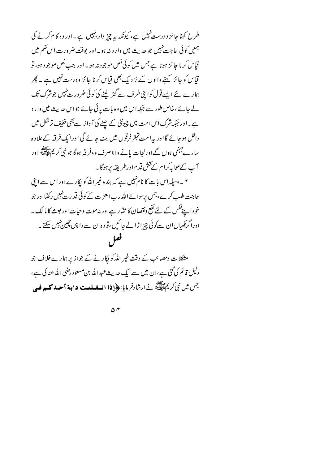طرح کہنا جائز و درست نہیں ہے، کیونکہ یہ چز واردنہیں ہے۔اور وہ کام کرنے کی ہمیں کوئی حاجت نہیں جو حدیث میں وارد نہ ہو۔اور بوقت ضرورت اس حکم میں قیاس کرنا جائز ہوتا ہے جس میں کوئی نص موجود نہ ہو ۔اور جب نص موجود ہو، تو قیاس کو جائز کہنے والوں کے نز دیک بھی قیاس کرنا جائز ودرست نہیں ہے ۔ پھر ہمارے لئے ایسےقول کواپنی طرف سے گھڑ لینے کی کوئی ضرورت نہیں جوشرک تک لے جائے ، خاص طور سے جبکہ اس میں وہ بات پائی جائے جواس حدیث میں وار د ہے۔اور جبکہ شرک اس امت میں چیونٹی کے چلنے کی آ واز سے بھی خفیف ترشکل میں داخل ہوجائے گااور پہ امت تہتر فرقوں میں بٹ جائے گی اور ایک فرقہ کے علاوہ سار ےجہنمی ہوں گےاورنجات یانے والاصرف وہ فرقہ ہوگا جو نبی کریم ایسے اور آپ کےصحابہ کرام کےنقش قدم اورطریقہ پر ہوگا۔ ۶۔ وسیلہ اس بات کا نامنہیں ہے کہ بندہ غیر اللہ کو پکارے اور اس سے اپنی

حاجت طلب کرے،جس برسوائے اللہ رب العز ت کے کوئی قدرت نہیں رکھتااور جو خودا پنےنفس کے لئے نفع ونقصان کا مختار ہےاور نہ موت وحیات اور بعث کا ما لک ۔ اورا گرکھیاں ان سےکوئی چیز اڑ الے جا ئیں ،تو وہ ان سے واپس چچین نہیں سکتے ۔ فعل

مشکلات ومصائب کے وقت غیر اللّٰہ کو ایکار نے کے جواز پر ہمارے خلاف جو دلیل قائم کی گئی ہے،ان میں سےایک حدیث عبداللہ بن مسعود رضی اللہ عنہ کی ہے، جس میں نبی کریم اللہ نے ارشادفر مایا: ﴿**إِذا انسفیلیت داہة أحید کی فی** 

 $\Delta \Gamma$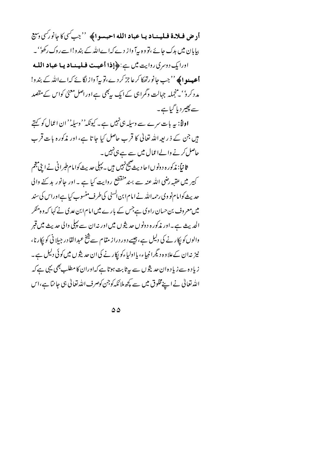أد حل فيلا-ة فيلهنهاد يبا عباد الله احبهبوا﴾ ''جب سي كاعانورسي دسيع بیابان میں بدک جائے ،تو وہ بیآ واز دے کہا ےاللہ کے بندو!اسےروک رکھو' ۔ اورایک دوسری روایت میں ہے:﴿إِذا أَعيت فِيلِينِهادِ يِبا عِبادِ اللَّه **أعيه مو ا ﴾** ''جب جانو رتھکا کرعا جز کر دے،تو بہآ واز لگائے کہا ےاللہ کے بندو! مدد کر د'' منجملہ جہالت وگمراہی کے ایک پہنچی ہے اور اصل معنیٰ کواس کے مقصد سے پھیر دیا گیا ہے۔

اولاً: یہ بات سرے سے وسیلہ ہی نہیں ہے ۔ کیونکہ'' وسیلہ'' ان اعمال کو کہتے ہیں جن کے ذریعہ اللہ تعالیٰ کا قرب حاصل کیا جا تا ہے، اور مذکورہ بات قرب حاصل کرنے والےاعمال میں سے ہے ہی نہیں۔

ثانیاً: مذکور ہ د ونوں ا حا دیثے پیچ نہیں ہیں ۔ پہلی حدیث کوا مام طبرانی نے اپنی پیچم کبیر میں عقبہ رضی اللہ عنہ سے بسندمنقطع روایت کیا ہے ۔ اور جانور بد کنے والی حدیث کوامام نو وی رحمہ اللہ نے امام ابن ایسنی کی طرف منسوب کیا ہےاوراس کی سند میں معروف بن حسان راوی ہےجس کے بارے میں امام ابن عدی نے کہا کہ وہ منکر الحدیث ہے۔اور مذکورہ دونوں حدیثوں میں اور نہان سے پہلی والی حدیث میں قبر والوں کو پکار نے کی دلیل ہے، جیسے دور دراز مقام سے شخ عبدالقا در جیلا نی کو پکارنا، نیز نہان کےعلاوہ دیگرانبیاء، یااولپاءکو پکارنے کی ان حدیثوں میں کوئی دلیل ہے۔ زیا دہ سے زیا دہ ان حدیثوں سے بیرثابت ہوتا ہے کہاوران کا مطلب بھی یہی ہے کہ اللہ تعالیٰ نے اپنےمخلوق میں سے کچھ ملائکہ کوجن کوصرف اللہ تعالیٰ ہی جا نتا ہے،اس

 $\Delta \Delta$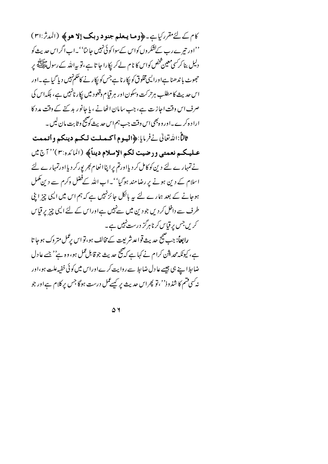كام كے لئے مقرر كياہے۔ ﴿ وما يعلم جنود دبك إلا هو ﴾ (المدثر:٣١) ''اور تیر ے رب کےلشکر وں کواس کےسوا کوئی نہیں جا نتا''۔اب اگراس حدیث کو دلیل بنا کر<sup>کس</sup>ی معین شخص کواس کا نام لے کر ایکارا جا تا ہے ،تو پہ اللہ کے رسولﷺ پر حجھوٹ با ندھنا ہےاورالیںمخلوق کو پکارنا ہےجس کو پکار نے کاحکم نہیں دیا گیا ہے۔اور اس حدیث کا مطلب ہرحرکت وسکون اور ہر قیام وقعود میں پکار نانہیں ہے، بلکہاس کی صرف اس وقت اجازت ہے، جب سامان اٹھانے ، یا جانور بد کئے کے وقت مدد کا ارا د ہ کرے۔اور و ہجی اس وقت جب ہم اس حدیث کو صحیح و ثابت مان لیں ۔

ثالثًا:الدُّتوالي نےفرمايا:﴿المهومِ أكـمـلت لـكـم دينكم و أتـممت عليكم نعمتي ورضيت لكم الإسلام ديناً﴾ (المائده:٣)'' آج مي نے تہمارے لئے دین کو کامل کر دیااورتم پراپناانعام کبر پورکر دیااورتمہارے لئے اسلام کے دین ہونے پر رضامند ہوگیا''۔اب اللہ کےفضل وکرم سے دین کمل ہوجانے کے بعد ہمارے لئے یہ بالکل جائزنہیں ہے کہ ہم اس میں ایپی چز ابنی طرف سے داخل کر دیں جو دین میں سےنہیں ہےاوراس کے لئے ایپی چیز پر قیاس کریں جس پر قیاس کرنا ہرگز درست نہیں ہے۔ **رابعاً**: جب صحیح حدیث قواعدشر بعت کے مخالف ہو،تو اس برعمل متر وک ہوجا تا

ہے، کیونکہ محدیثن کرام نے کہا ہے کہ صحیح حدیث جو قابل عمل ہو، وہ ہے'' جسے عادل ضابط اپنے ہی جیسے عا دل ضابط سے روایت کرےاوراس میں کوئی خفیہ علت ہو،اور نہ کسی فسم کا شذوذ''،نو پھراس حدیث پر کسے عمل درست ہوگا جس پر کلام ہے اور جو

 $\Delta$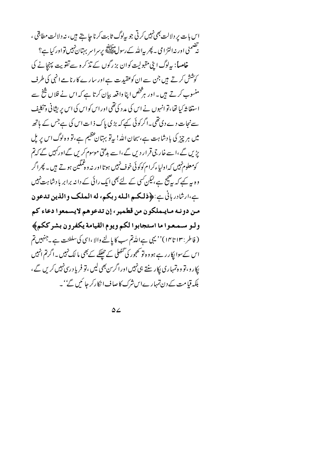اس بات بر دلالت بھی نہیں کرتی جو پہلوگ ثابت کرنا جا ہتے ہیں، نہ دلالت مطابقی ، نە<br>نەھىمنى اور نەالتزامى بەيجرىيەاللەك رسول قاپلىنىچە يرسراسر بېتان ئېيس تواور كىيا ہے؟ خامساً: بہادگ ابنی مقبولیت کوان بز رگوں کے تذکرہ سے تفویت پہنچانے کی کوشش کرتے ہیں جن سے ان کوعقیدت ہے اور سارے کارنامے انہی کی طرف منسوب کرتے ہیں۔اور ہر څنص اپنا واقعہ بیان کرتا ہے کہ اس نے فلاں شخ سے استغا شہ کیا تھا، تو انہوں نے اس کی مد د کی تھی اور اس کواس کی اس پر بیثانی وتکلیف سےنجات دے دی تھی۔اگر کوئی کیے کہ بڑی پاک ذات اس کی ہے جس کے ہاتھ میں ہر چیز کی بادشاہت ہے،سبحان اللہ! بیاتو بہتان عظیم ہے، تو وہ لوگ اس پر بل پڑیں گے،اسے خار جی قرار دیں گے،اسے بدعتی موسوم کریں گےاورکہیں گے کہ تم کومعلوم نہیں کہ اولیاءکرام کوکوئی خوف نہیں ہوتا اور نہ وہ ٹمگین ہوتے ہیں۔ پھراگر وہ یہ کہے کہ یہ چیج ہے،لیکن کسی کے لئے بھی ایک رائی کے دانہ برابر بادشا ہت نہیں ہے،ارشادر بانی ہے:﴿ذلكم البله دبكم، له المملك والذين تدعون من دونه مايملكون من قطمير، إن تدعوهم لايسمعوا دعاء كم وليو سيمتعوا ما استجابوا لكم ويوم القيامة يكفرون بشرككم﴾ ( فاطر : ١٣ تا١٣) '' يہى ہےاللہ تم سب كا يالنے والا ،اسى كى سلطنت ہے ۔جنہيں تم اس کےسوا پکار رہے ہو وہ تو تھجور کی تحصل کے حیلکے کے بھی ما لک نہیں ۔اگرتم انہیں بکار و ، تو و ہ تمہاری پکار سنتے ہی نہیں اور اگرس بھی لیں ، تو فریا د ری نہیں کریں گے ، بلکہ قیامت کے دن تمہارےاس شرک کا صاف ا نکارکر جائیں گے' ۔

 $\Delta 2$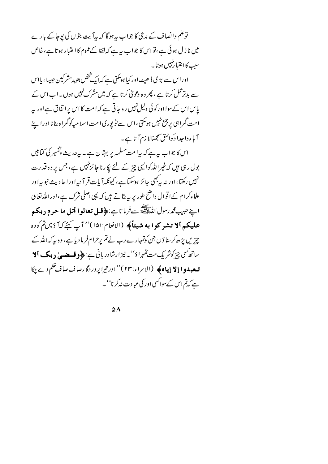توعلم وانصاف کے مدعی کا جواب بیرہوگا کہ بیہآ بیت بتوں کی یوجا کے بارے میں نا ز ل ہوئی ہے ،تو اس کا جواب ہیر ہے کہ لفظ کے عموم کا اعتبار ہو تا ہے ، خاص سب کااعتیا رنہیں ہوتا۔

اوراس سے بڑی ڈ ھیٹ اور کیا ہوسکتی ہے کہ ایک شخص بعینہ مشر کین جیسا ، پااس سے بدترعمل کرتا ہے ، پھر وہ دعویٰ کرتا ہے کہ میں مشرک نہیں ہوں ۔اب اس کے یاس اس کےسوااورکوئی دلیل نہیں رہ جاتی ہے کہ امت کا اس پرا تفاق ہےاور پہ امت گمراہی پرجمع نہیں ہوسکتی ،اس سے تو پوری امت اسلا میہ کو گمراہ بنا نااورا ہنے آباءوا جدا دکواحمق سمجھنالا زم آتا ہے۔

اس کا جواب ہہ ہے کہ پیامت مسلمہ پر بہتان ہے ۔ بیرعدیث وتفسیر کی کتابیں بول رہی ہیں کہ غیر اللہ کوالیں چیز کے لئے پکارنا جائزنہیں ہے، جس پر وہ قدرت نہیں رکھتا،اور نہ سپ<sup>ر</sup> میں جائز ہوسکتا ہے، کیونکہ آیات قر آ نیہاوراحادیث نبو بیراور علاءکرام کےاقوال واضح طور پر بیہ بتاتے ہیں کہ یہی اصلی شرک ہے،اوراللہ تعالیٰ اپنے *عبیب محمد رسو*ل اللّٰہِ ا<del>لسَّلاَلِیَّ کے</del> خرما تاہے: ﴿ **فَسَلَّ تعالَوا أَتَيْلَ ما حرم دبکم** عليكم ألا تشركوا به شيئاً﴾ (الانعام:١٥١)'' آپ كَيْرَكَهْ دَمِينِمْ كُودِهِ چزیں پڑھ کر بناؤں جن کوتمہارے رب نے تم پرحرام فرمادیا ہے، وہ پیرکہ اللہ کے ساتھ *کسی چیز کوشریک مت کھہر*اؤ''۔ نیز ارشادر بانی ہے: ﴿ **وقسصے یٰ دیک اَلا تسعبدوا إلا إياه﴾** (الاسراء:٢٣)''اور تيرايروردگارصاف صاف حكم ديج كا ہے کہ تم اس کے سواکسی اور کی عمادت نہ کرنا''۔

 $\Delta \Lambda$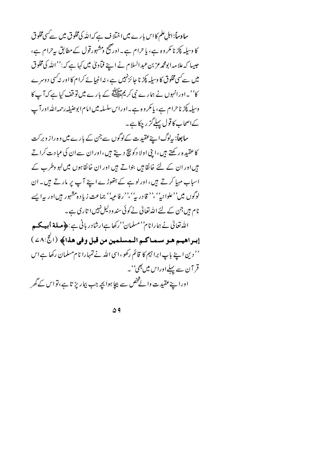سا دساً: اہلِ علم کا اس بارے میں اختلاف ہے کہ اللہ کی مخلوق میں سے کسی مخلوق کا وسیلہ پکڑ نا مکر وہ ہے، یا حرام ہے۔اورضج دمشہورقول کے مطابق بیرحرام ہے، جیسا کہ علا مہ ابو<del>م</del>حمرعز بن *عبد السلا*م نے اپنے فماویٰ میں کہا ہے کہ<sup>: ''</sup> اللہ کی مخلوق میں سے سی مخلوق کا وسیلہ پکڑنا جائز نہیں ہے ، نہ انبیائے کرام کا اور نہ کسی دوسرے کا''۔اورانہوں نے ہمارے نبی کریمﷺ کے بارے میں تو قف کیا ہے کہ آ پ کا وسیلہ پکڑ ناحرام ہے، پا مکر وہ ہے۔اوراس سلسلہ میں امام ابوحنیفہ رحمہ اللہ اورآپ کےاصحاب کا قول پہلےگز رچکا ہے۔

<mark>سابعاً: بی</mark>لوگ اپنےعقیدت کےلوگوں سے جن کے بارے میں وہ راز وبرکت کاعقیدہ رکھتے ہیں،ابنی اولا دکونیچ دیتے ہیں،اوران سےان کی عبادت کراتے ہیںاور ان کے لئے خانقا ہیں بنواتے ہیں اور ان خانقا ہوں میں لہو وطرب کے اسباب مہیا کرتے ہیں، اور لوہے کے ہتھوڑے اپنے آپ پر مارتے ہیں۔ان لوگوں میں''علوانہ''،'' قادر بہ''' رفاعیہ'' جماعت زیادہ مشہور ہیںاور پہ ایسے نام ہیں جن کے لئے اللہ تعالیٰ نے کوئی سند و دلیل نہیں ا تاری ہے۔ الله تعالىٰ نے ہمارا نام''مسلمان' 'رکھا ہےارشادر بانی ہے: ﴿ م**سلة أبي يحسى** إبىراهيم هو سىماكم الىمسلمين من قبل وفي هذا﴾ (الحُ:٤٨)

'' دین اپنے باپ ابرا ہیم کا قائم رکھو ،اسی اللہ نے تمہارا نام مسلمان رکھا ہے اس قر آن سے پہلےاوراس میں بھی''۔ اورا پنےعقیدت والے څض سے بیچا ہوا بچہ جب بیار پڑ تا ہے،تواس کے گھر

 $\Delta$ 9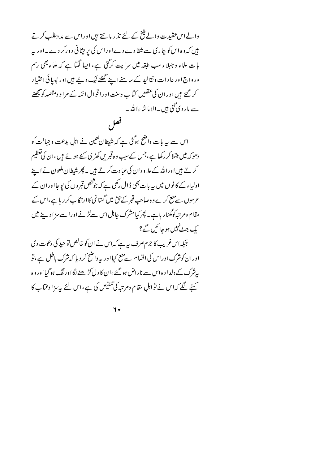والے اس عقید ت والے شخ کے لئے نذ ر مانتے ہیں اوراس سے مد دطلب کرتے میں کہ وہ اس کو بیاری سے شفا دے دےاوراس کی پریشانی دورکر دے۔اور پہ بات علماء و جہلا ء سب طبقہ میں سرایت کرگئی ہے، ایبا لگیا ہے کہ علماء بھی رسم ور واج اور عا دا ت ونقالید کے سا منے اپنے گھٹنے ٹیک دیئے ہیں اور پسائی اختیار کر گئے ہیں اور ان کی عقلیں کتاب وسنت اور اقوال ائمہ کے مراد ومقصد کو پیچھنے سے مار دی گئی ہیں ۔الا ماشاءاللہ ۔

## فعل

اس سے یہ بات واضح ہوگئی ہے کہ شیطان کعین نے اہل بدعت و جہالت کو دھوکہ میں مبتلا کر رکھا ہے،جس کےسبب وہ قبر یں کھڑی کئے ہوئے ہیں ،ان کی تعظیم کرتے ہیں اوراللہ کےعلاوہ ان کی عبادت کرتے ہیں ۔ پھر شیطان ملعون نے اپنے اولیاء کے کا نوں میں یہ بات بھی ڈال رکھی ہے کہ جوشخص قبروں کی یوجااوران کے عرسوں سے منع کرے وہ صاحب قبر کے حق میں گساخی کاار تکا ب کرر پاہے،اس کے مقام ومرتبہ کو گھٹار ہاہے۔ پھر کیامشرک جاہل اس سےلڑنے اورا سے سز ا دینے میں یک جٹ نہیں ہوجا ئیں گے؟

جېکەاس غریب کا جرم صرف یہ ہے کہ اس نے ان کوخالص تو حید کی دعوت دی اوران کوشرک اوراس کی اقسام سےمنع کیااور پہ واضح کر دیا کہ شرک باطل ہے،تو پیٹرک کے دلدا د ہ اس سے ناراض ہو گئے ،ان کا دل کڑھنے لگااورننگ ہوگیااور و ہ کہنے لگے کہ اس نے تو اہلِ مقام ومرتبہ کی تنقیص کی ہے ،اس لئے بپہ مزا وعمّاب کا

7.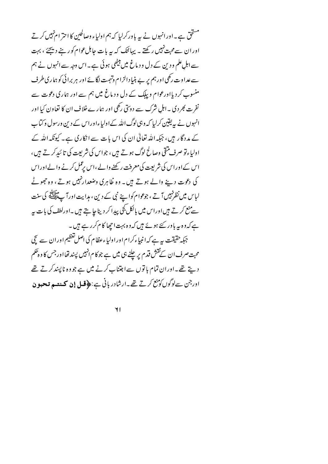مستحق ہے۔اور انہوں نے یہ باور کرلیا کہ ہم اولیاء وصالحین کا احترام *نہ*یں کر تے اوران سےمحبت نہیں رکھتے ۔ یہائنک کہ ہیربات جاہل عوام کور بنے دیجئے ، بہت سے اہل علم ود ین کے دل ود ماغ میں بیٹھی ہوئی ہے۔اس وجہ سے انہوں نے ہم سے عداوت رکھی اور ہم پر بے بنیا دالزام وتہمت لگائے اور ہر برائی کو ہماری طرف منسوب کر دیااورعوام و بیاک کے دل ود ماغ میں ہم سے اور ہماری دعوت سے نفر ت بھر دی ۔اہل شرک سے دوسی رکھی اور ہمارے خلاف ان کا تعاون کیا اور انہوں نے پہ یقین کرلیا کہ وہی لوگ اللہ کےاولیاءاوراس کے دین ورسول وکتاب کے مددگار ہیں، جبکہ اللہ تعالیٰ ان کی اس بات سے انکاری ہے۔ کیونکہ اللہ کے اولیاءتو صرف منقی وصالح لوگ ہوتے ہیں، جواس کی شریعت کی تائیدکرتے ہیں، اس کےاوراس کی شریعت کی معرفت رکھنے والے ،اس رعمل کرنے والےاوراس کی دعوت دینے والے ہوتے ہیں۔ وہ ظاہری وضعدارنہیں ہوتے، وہ حجھوٹے لباس میں نظر نہیں آتے ، جوعوا م کوا بنے نبی کے دین ، ہدایت اور آ پﷺ کی سنت سے منع کرتے ہیں اوراس میں بالکل کجی پیدا کر دیناجا ہتے ہیں ۔اورلطف کی بات ہہ ہے کہ د ہ یہ باور کئے ہوئے میں کہ د ہ بہت اچھا کا م کرر ہے ہیں ۔ جبکہ حقیقت ہیرہے کہ انبیاءکرام اور اولیاءعظام کی اصل تعظیم اور ان سے سچی محبت صرف ان کےنقش قدم پر چلنے ہی میں ہے جو کا م انہیں پسند تھااور جس کا و ہحکم دیتے تھے۔اوران تمام باتوں سےاجتناب کرنے میں ہے جو وہ ناپسند کرتے تھے اورجن سےلوگوں کو منع کرتے تھے۔ارشادر بانی ہے :﴿ **قبل إِن كے نتيو تبحبو ن** 

 $\mathbf{H}$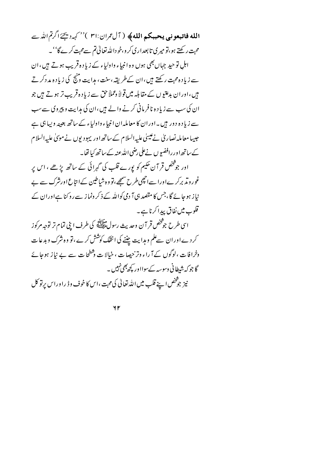الله فاتبعوني يحببكم الله﴾ ( آلعمران:٣١ )'' كهرديجَ اكرتم الله ت محبت رکھتے ہو،تو میر کی تا بعداری کر و،خو داللہ تعالیٰ تم سےمحبت کرے گا''۔ اہل تو حید جہاں بھی ہوں وہ انبیاء واولیاء کے زیادہ قریب ہوتے ہیں،ان سے زیاد ہ محبت رکھتے ہیں ،ان کے طریقہ،سنت ، مہرایت ونج کی زیاد ہ مدد کرتے ہیں ،اوران بدعتیوں کے مقابلہ میں قولاً دعملاً حق سے زیاد ہ قریب تر ہوتے ہیں جو ان کی سب سے زیادہ نافر مانی کرنے والے ہیں،ان کی مدایت و پیروی سے سب سے زیا د ہ دور ہیں۔اور ان کا معاملہ ان انبیاء واولیاء کے ساتھ بعینہ ویبا ہی ہے جیپا معاملہ نصاریٰ نے عیسیٰ علیہ السلام کے ساتھ اور یہودیوں نے موئیٰ علیہ السلام کے ساتھ اور رافضو ں نےعلی رضی اللہ عنہ کے ساتھ کیا تھا۔ اور جو شخص قر آن حکیم کو پورے قلب کی گہرائی کے ساتھ پڑھے ، اس پر غور ویڈ برکر ےاورا سےانچھی طرح صمحھے،تو وہ شباطین کےا نتاع اورنثرک سے بے نیاز ہو جائے گا، جس کا مقصد ہی آ دمی کواللہ کے ذکر ونما ز سے روکنا ہےاوران کے قلوب میں نفاق پیدا کرنا ہے۔ اسی طرح جوشخص قر آن وحدیث رسول ایلانی<sub>ه</sub> کی طرف اینی تمام تر توجه مرکوز کرد ےاوران سےعلم و ہدایت چننے کی انتقک کوشش کرے ،تو وہ شرک و بدعات وخرافات ،لوگوں کے آ راء وتر جیھیات ، خیالا ت وشطحات سے بے نیاز ہوجائے گا جو کہ شطا نی وسوسہ کےسوااور کچھ جھی نہیں ۔ نیز جوشخص اپنے قلب میں اللہ تعالیٰ کی محبت ،اس کا خوف وڈ راوراس پرتو کل

 $4r$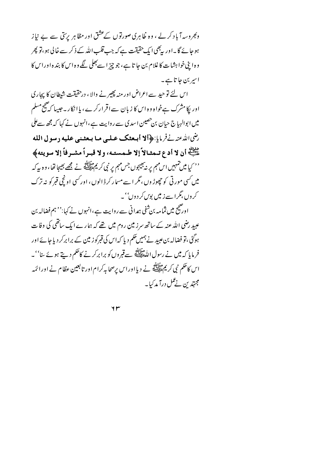وںجروسہ آباد کر لے ، وہ ظاہری صورتوں کےعشق اور مظاہر پر تق سے بے نباز ہوجائے گا۔اور بیجی ایک حقیقت ہے کہ جب قلب اللہ کے ذکر سے خالی ہو،تو پھر وہ اپنی خواہشات کا غلام بن جا تا ہے، جو چیز اسے بھلی لگے وہ اس کا بند ہ اوراس کا اسپر بن جا تا ہے۔

اس لئے تو حید سے اعراض اور منہ پھیر نے والا ، درحقیقت شیطان کا پجاری اور پکامشرک ہےخواہ وہ اس کا زبان سے اقر ارکرے ، یاا نکار ۔جیپا کہ صحیح مسلم میں اپوالہا ج حیان بن حصین اسدی سے روایت ہے،انہوں نے کہا کہ مجھ سےعلی رضي الدُّعنه نَّے فرمایا: ﴿ أَمَّا أَبِعِثْكَ عَبْلَى مِنَا بِبِعِثْنِي عَلَيْهِ رِسُولِ اللَّهِ ميس<br>عَلَيْتِهِ أَنْ لا أدع تـمشالاً إلا طـمستـه، ولا قبـراً مشـرفاً إلا سويته﴾ '' کیا میں تہہیں اس مہم پر نہ بھیجوں جس مہم پر نبی کر یمﷺ نے مجھے بھیجا تھا ، و ہ سہ کہ میں کسی مور ٹی کو چھوڑ وں،مگر اسے مسمار کر ڈالوں، اور کسی اونچی قبر کو بنہ ترک کر وں ،مگرا سے زمیں بوں کر د وں''۔

اور صحیح میں ثمامہ بن شفی ہمدانی سے روایت ہے،انہوں نے کہا:'' ہم فضالہ بن عبید رضی اللہ عنہ کے ساتھ سرز مین روم میں تھے کہ ہمارے ایک ساتھی کی وفات ہوگئی،تو فضالہ بن عبید نے ہمیں حکم دیا کہ اس کی قبرکوز مین کے برابرکر دیا جائے اور فر مایا کہ میں نے رسول اللّٰہﷺ سے قبر وں کو برابر کرنے کاحکم دیتے ہوئے سا''۔ اس کاحکم نبی کریم حالقہ نے دیا اوراس پرصحابہ کرام اور تابعین عظام نے اورائمہ مجتہدین نے عمل درآ مدکیا۔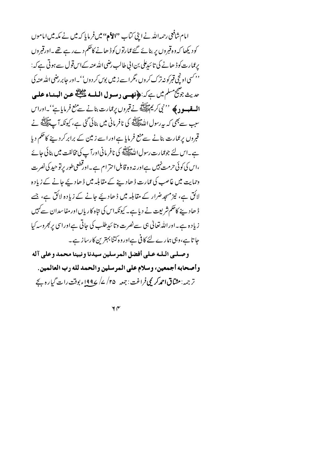امام شافعی رحمہ اللہ نے اپنی کتاب ''الأہ'' میںفر مایا کہ میں نے مکہ میں اماموں کودیکھا کہ وہ قبروں پر بنائے گئے ممارتوںکو ڈھانے کاحکم دےرہے تھے۔اورقبروں برعمارت کوڈ ھانے کی تا ئیدعلی بن اپی طالب رضی اللہ عنہ کےاس قول سے ہوتی ہے کہ: <sup>د د</sup> کسی اونچی قبر کو نی**ر**زک کروں ،مگرا سے زییں بوس کردوں''۔اور جابر رضی اللہ عنہ کی حديث جوشيج مسلم ميں ہے كہ:﴿ فَصِبِي دِمِسولِ الْمَلْسِهِ عَلَيْتِ عِنِ الْبِسَاءِ عِلْيِ، **السقبسو دی** پر '' نبی کریم ﷺ نے قبروں پرعمارت بنانے سے منع فرمایا ہے''۔اوراس سبب سے بھی کہ پہ رسول اللہﷺ کی نافر مانی میں بنائی گئی ہے، کیونکہ آ پﷺ نے قبروں پر عمارت بنانے سے منع فرمایا ہے اور اسے زمین کے برابرکردینے کاحکم دیا ہے۔اس لئے جوعمارت رسول اللہﷺ کی نافر مانی اورآ پ کی مخالفت میں بنائی جائے ،اس کی کوئی حرمت نہیں ہےاور نہ وہ قابل احترام ہے۔اورقطعی طور پرتو حید کی نصرت وحمایت میں غاصب کی عمارت ڈ ھاد بنے کے مقابلہ میں ڈ ھاد یئے جانے کے زیادہ لائق ہے، نیز مسجد ضرار کے مقابلہ میں ڈھادیئے جانے کے زیادہ لائق ہے، جسے ڈ ھاد پنے کاحکم شریعت نے دیا ہے۔ کیونکہ اس کی متاہ کاریاں اور مفاسدان سے کہیں زیادہ ہے۔اوراللہ تعالیٰ ہی سے نصرت وتا ئیدِطلب کی جاتی ہےاوراسی پر بھروسہ کیا جا تا ہے،وہی ہمارے لئے کافی ہےاوروہ کتنا بہترین کارساز ہے۔ وصلبي البله عبلى أفضل المرسلين سيدنا ونبينا محمد وعلى آله وأصحابه أجمعين، وسلام على المرسلين والحمد لله رب العالمين. تر جمہ: مثباتی احمدکر یمی فراغت : جمعہ ۲۵/ ۷/ ۱۹۹۷ء بوقت رات گیا رہ بجے

 $4<sub>\alpha</sub>$